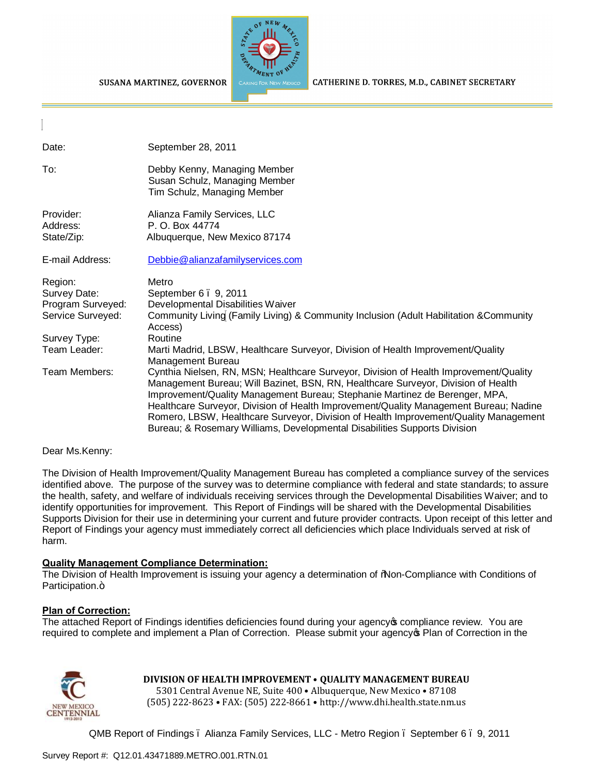



CATHERINE D. TORRES, M.D., CABINET SECRETARY

| Date:                                                             | September 28, 2011                                                                                                                                                                                                                                                                                                                                                                                                                                                                                                      |
|-------------------------------------------------------------------|-------------------------------------------------------------------------------------------------------------------------------------------------------------------------------------------------------------------------------------------------------------------------------------------------------------------------------------------------------------------------------------------------------------------------------------------------------------------------------------------------------------------------|
| To:                                                               | Debby Kenny, Managing Member<br>Susan Schulz, Managing Member<br>Tim Schulz, Managing Member                                                                                                                                                                                                                                                                                                                                                                                                                            |
| Provider:<br>Address:<br>State/Zip:                               | Alianza Family Services, LLC<br>P. O. Box 44774<br>Albuquerque, New Mexico 87174                                                                                                                                                                                                                                                                                                                                                                                                                                        |
| E-mail Address:                                                   | Debbie@alianzafamilyservices.com                                                                                                                                                                                                                                                                                                                                                                                                                                                                                        |
| Region:<br>Survey Date:<br>Program Surveyed:<br>Service Surveyed: | Metro<br>September 6 . 9, 2011<br>Developmental Disabilities Waiver<br>Community Living (Family Living) & Community Inclusion (Adult Habilitation & Community<br>Access)                                                                                                                                                                                                                                                                                                                                                |
| Survey Type:<br>Team Leader:                                      | Routine<br>Marti Madrid, LBSW, Healthcare Surveyor, Division of Health Improvement/Quality<br>Management Bureau                                                                                                                                                                                                                                                                                                                                                                                                         |
| Team Members:                                                     | Cynthia Nielsen, RN, MSN; Healthcare Surveyor, Division of Health Improvement/Quality<br>Management Bureau; Will Bazinet, BSN, RN, Healthcare Surveyor, Division of Health<br>Improvement/Quality Management Bureau; Stephanie Martinez de Berenger, MPA,<br>Healthcare Surveyor, Division of Health Improvement/Quality Management Bureau; Nadine<br>Romero, LBSW, Healthcare Surveyor, Division of Health Improvement/Quality Management<br>Bureau; & Rosemary Williams, Developmental Disabilities Supports Division |

#### Dear Ms.Kenny:

The Division of Health Improvement/Quality Management Bureau has completed a compliance survey of the services identified above. The purpose of the survey was to determine compliance with federal and state standards; to assure the health, safety, and welfare of individuals receiving services through the Developmental Disabilities Waiver; and to identify opportunities for improvement. This Report of Findings will be shared with the Developmental Disabilities Supports Division for their use in determining your current and future provider contracts. Upon receipt of this letter and Report of Findings your agency must immediately correct all deficiencies which place Individuals served at risk of harm.

## **Quality Management Compliance Determination:**

The Division of Health Improvement is issuing your agency a determination of "Non-Compliance with Conditions of Participation.+

#### **Plan of Correction:**

The attached Report of Findings identifies deficiencies found during your agency to compliance review. You are required to complete and implement a Plan of Correction. Please submit your agency of Plan of Correction in the



## **DIVISION OF HEALTH IMPROVEMENT** • **QUALITY MANAGEMENT BUREAU**

5301 Central Avenue NE, Suite 400 • Albuquerque, New Mexico • 87108 (505) 222-8623 • FAX: (505) 222-8661 • http://www.dhi.health.state.nm.us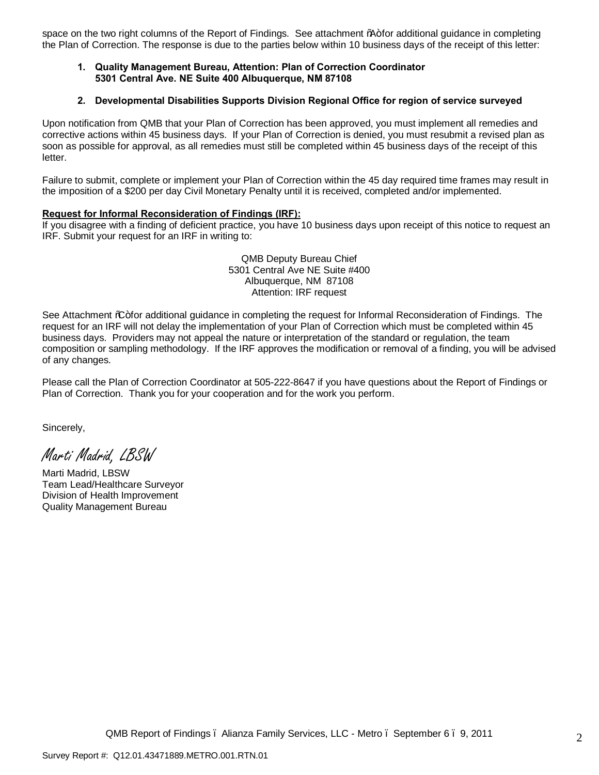space on the two right columns of the Report of Findings. See attachment %+for additional guidance in completing the Plan of Correction. The response is due to the parties below within 10 business days of the receipt of this letter:

### **1. Quality Management Bureau, Attention: Plan of Correction Coordinator 5301 Central Ave. NE Suite 400 Albuquerque, NM 87108**

#### **2. Developmental Disabilities Supports Division Regional Office for region of service surveyed**

Upon notification from QMB that your Plan of Correction has been approved, you must implement all remedies and corrective actions within 45 business days. If your Plan of Correction is denied, you must resubmit a revised plan as soon as possible for approval, as all remedies must still be completed within 45 business days of the receipt of this letter.

Failure to submit, complete or implement your Plan of Correction within the 45 day required time frames may result in the imposition of a \$200 per day Civil Monetary Penalty until it is received, completed and/or implemented.

#### **Request for Informal Reconsideration of Findings (IRF):**

If you disagree with a finding of deficient practice, you have 10 business days upon receipt of this notice to request an IRF. Submit your request for an IRF in writing to:

> QMB Deputy Bureau Chief 5301 Central Ave NE Suite #400 Albuquerque, NM 87108 Attention: IRF request

See Attachment % for additional guidance in completing the request for Informal Reconsideration of Findings. The request for an IRF will not delay the implementation of your Plan of Correction which must be completed within 45 business days. Providers may not appeal the nature or interpretation of the standard or regulation, the team composition or sampling methodology. If the IRF approves the modification or removal of a finding, you will be advised of any changes.

Please call the Plan of Correction Coordinator at 505-222-8647 if you have questions about the Report of Findings or Plan of Correction. Thank you for your cooperation and for the work you perform.

Sincerely,

Marti Madrid, LBSW

Marti Madrid, LBSW Team Lead/Healthcare Surveyor Division of Health Improvement Quality Management Bureau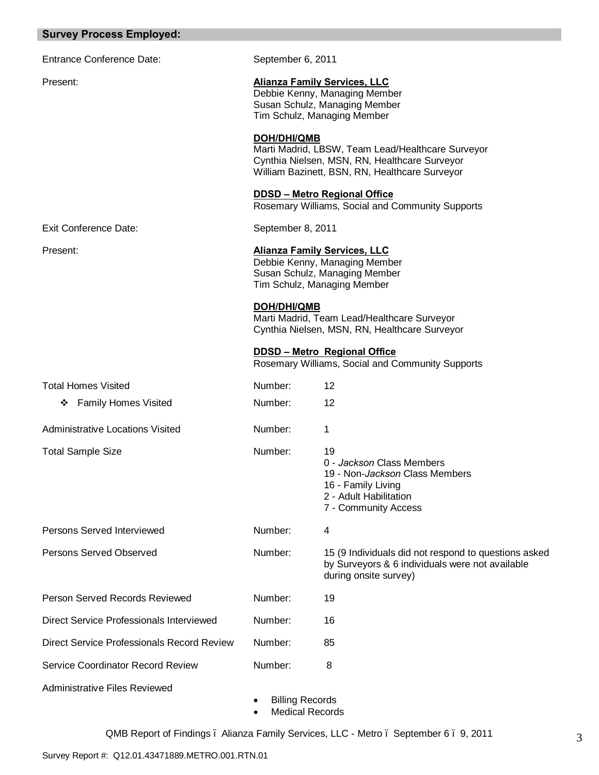### **Survey Process Employed:**

| <b>Survey Process Employed:</b>          |                    |                                                                                                                                                      |
|------------------------------------------|--------------------|------------------------------------------------------------------------------------------------------------------------------------------------------|
| <b>Entrance Conference Date:</b>         | September 6, 2011  |                                                                                                                                                      |
| Present:                                 |                    | <b>Alianza Family Services, LLC</b><br>Debbie Kenny, Managing Member<br>Susan Schulz, Managing Member<br>Tim Schulz, Managing Member                 |
|                                          | <b>DOH/DHI/QMB</b> | Marti Madrid, LBSW, Team Lead/Healthcare Surveyor<br>Cynthia Nielsen, MSN, RN, Healthcare Surveyor<br>William Bazinett, BSN, RN, Healthcare Surveyor |
|                                          |                    | <b>DDSD - Metro Regional Office</b><br>Rosemary Williams, Social and Community Supports                                                              |
| <b>Exit Conference Date:</b>             | September 8, 2011  |                                                                                                                                                      |
| Present:                                 |                    | <b>Alianza Family Services, LLC</b><br>Debbie Kenny, Managing Member<br>Susan Schulz, Managing Member<br>Tim Schulz, Managing Member                 |
|                                          | <b>DOH/DHI/QMB</b> | Marti Madrid, Team Lead/Healthcare Surveyor<br>Cynthia Nielsen, MSN, RN, Healthcare Surveyor                                                         |
|                                          |                    | <b>DDSD - Metro Regional Office</b><br>Rosemary Williams, Social and Community Supports                                                              |
| <b>Total Homes Visited</b>               | Number:            | 12                                                                                                                                                   |
| ❖ Family Homes Visited                   | Number:            | 12                                                                                                                                                   |
| <b>Administrative Locations Visited</b>  | Number:            | 1                                                                                                                                                    |
| <b>Total Sample Size</b>                 | Number:            | 19<br>0 - Jackson Class Members<br>19 - Non- <i>Jackson</i> Class Members<br>16 - Family Living<br>2 - Adult Habilitation<br>7 - Community Access    |
| Persons Served Interviewed               | Number:            | 4                                                                                                                                                    |
| Persons Served Observed                  | Number:            | 15 (9 Individuals did not respond to questions asked<br>by Surveyors & 6 individuals were not available<br>during onsite survey)                     |
| Person Served Records Reviewed           | Number:            | 19                                                                                                                                                   |
| Direct Service Professionals Interviewed | Number:            | 16                                                                                                                                                   |

· Billing Records · Medical Records

Administrative Files Reviewed

Direct Service Professionals Record Review Number: 85

Service Coordinator Record Review Number: 8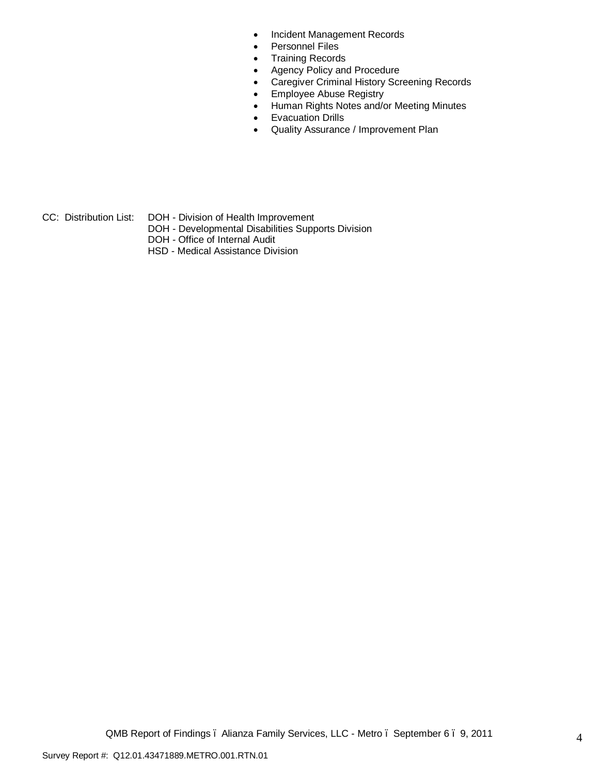- · Incident Management Records
- · Personnel Files
- · Training Records
- · Agency Policy and Procedure
- · Caregiver Criminal History Screening Records
- · Employee Abuse Registry
- · Human Rights Notes and/or Meeting Minutes
- · Evacuation Drills
- · Quality Assurance / Improvement Plan
- CC: Distribution List: DOH Division of Health Improvement
	- DOH Developmental Disabilities Supports Division
	- DOH Office of Internal Audit
	- HSD Medical Assistance Division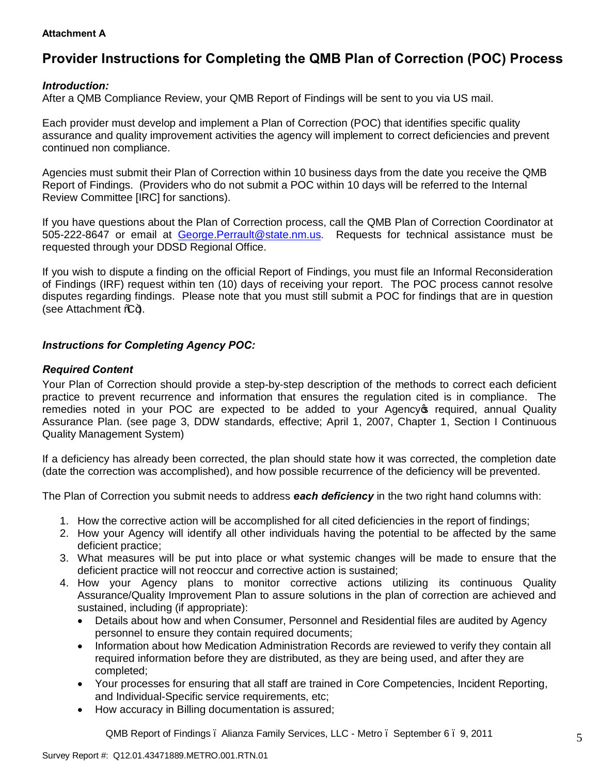## **Attachment A**

# **Provider Instructions for Completing the QMB Plan of Correction (POC) Process**

## *Introduction:*

After a QMB Compliance Review, your QMB Report of Findings will be sent to you via US mail.

Each provider must develop and implement a Plan of Correction (POC) that identifies specific quality assurance and quality improvement activities the agency will implement to correct deficiencies and prevent continued non compliance.

Agencies must submit their Plan of Correction within 10 business days from the date you receive the QMB Report of Findings. (Providers who do not submit a POC within 10 days will be referred to the Internal Review Committee [IRC] for sanctions).

If you have questions about the Plan of Correction process, call the QMB Plan of Correction Coordinator at 505-222-8647 or email at George.Perrault@state.nm.us. Requests for technical assistance must be requested through your DDSD Regional Office.

If you wish to dispute a finding on the official Report of Findings, you must file an Informal Reconsideration of Findings (IRF) request within ten (10) days of receiving your report. The POC process cannot resolve disputes regarding findings. Please note that you must still submit a POC for findings that are in question (see Attachment  $\mathcal{L}$ ).

## *Instructions for Completing Agency POC:*

## *Required Content*

Your Plan of Correction should provide a step-by-step description of the methods to correct each deficient practice to prevent recurrence and information that ensures the regulation cited is in compliance. The remedies noted in your POC are expected to be added to your Agency of required, annual Quality Assurance Plan. (see page 3, DDW standards, effective; April 1, 2007, Chapter 1, Section I Continuous Quality Management System)

If a deficiency has already been corrected, the plan should state how it was corrected, the completion date (date the correction was accomplished), and how possible recurrence of the deficiency will be prevented.

The Plan of Correction you submit needs to address *each deficiency* in the two right hand columns with:

- 1. How the corrective action will be accomplished for all cited deficiencies in the report of findings;
- 2. How your Agency will identify all other individuals having the potential to be affected by the same deficient practice;
- 3. What measures will be put into place or what systemic changes will be made to ensure that the deficient practice will not reoccur and corrective action is sustained;
- 4. How your Agency plans to monitor corrective actions utilizing its continuous Quality Assurance/Quality Improvement Plan to assure solutions in the plan of correction are achieved and sustained, including (if appropriate):
	- · Details about how and when Consumer, Personnel and Residential files are audited by Agency personnel to ensure they contain required documents;
	- · Information about how Medication Administration Records are reviewed to verify they contain all required information before they are distributed, as they are being used, and after they are completed;
	- · Your processes for ensuring that all staff are trained in Core Competencies, Incident Reporting, and Individual-Specific service requirements, etc;
	- · How accuracy in Billing documentation is assured;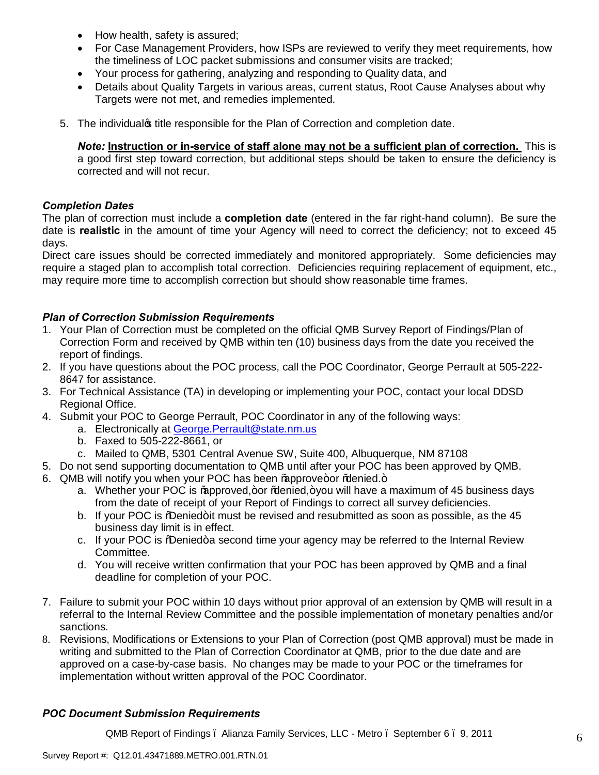- How health, safety is assured;
- · For Case Management Providers, how ISPs are reviewed to verify they meet requirements, how the timeliness of LOC packet submissions and consumer visits are tracked;
- · Your process for gathering, analyzing and responding to Quality data, and
- · Details about Quality Targets in various areas, current status, Root Cause Analyses about why Targets were not met, and remedies implemented.
- 5. The individual's title responsible for the Plan of Correction and completion date.

*Note:* **Instruction or in-service of staff alone may not be a sufficient plan of correction.** This is a good first step toward correction, but additional steps should be taken to ensure the deficiency is corrected and will not recur.

## *Completion Dates*

The plan of correction must include a **completion date** (entered in the far right-hand column). Be sure the date is **realistic** in the amount of time your Agency will need to correct the deficiency; not to exceed 45 days.

Direct care issues should be corrected immediately and monitored appropriately. Some deficiencies may require a staged plan to accomplish total correction. Deficiencies requiring replacement of equipment, etc., may require more time to accomplish correction but should show reasonable time frames.

## *Plan of Correction Submission Requirements*

- 1. Your Plan of Correction must be completed on the official QMB Survey Report of Findings/Plan of Correction Form and received by QMB within ten (10) business days from the date you received the report of findings.
- 2. If you have questions about the POC process, call the POC Coordinator, George Perrault at 505-222- 8647 for assistance.
- 3. For Technical Assistance (TA) in developing or implementing your POC, contact your local DDSD Regional Office.
- 4. Submit your POC to George Perrault, POC Coordinator in any of the following ways:
	- a. Electronically at George.Perrault@state.nm.us
	- b. Faxed to 505-222-8661, or
	- c. Mailed to QMB, 5301 Central Avenue SW, Suite 400, Albuquerque, NM 87108
- 5. Do not send supporting documentation to QMB until after your POC has been approved by QMB.
- 6. QMB will notify you when your POC has been % approve+or % denied.+
	- a. Whether your POC is  $%$  approved, +or  $%$  and  $e$ , +you will have a maximum of 45 business days from the date of receipt of your Report of Findings to correct all survey deficiencies.
	- b. If your POC is % Denied+it must be revised and resubmitted as soon as possible, as the 45 business day limit is in effect.
	- c. If your POC is % Denied + a second time your agency may be referred to the Internal Review Committee.
	- d. You will receive written confirmation that your POC has been approved by QMB and a final deadline for completion of your POC.
- 7. Failure to submit your [POC within 10 days without prio](mailto:George.Perrault@state.nm.us)r approval of an extension by QMB will result in a referral to the Internal Review Committee and the possible implementation of monetary penalties and/or sanctions.
- 8. Revisions, Modifications or Extensions to your Plan of Correction (post QMB approval) must be made in writing and submitted to the Plan of Correction Coordinator at QMB, prior to the due date and are approved on a case-by-case basis. No changes may be made to your POC or the timeframes for implementation without written approval of the POC Coordinator.

## *POC Document Submission Requirements*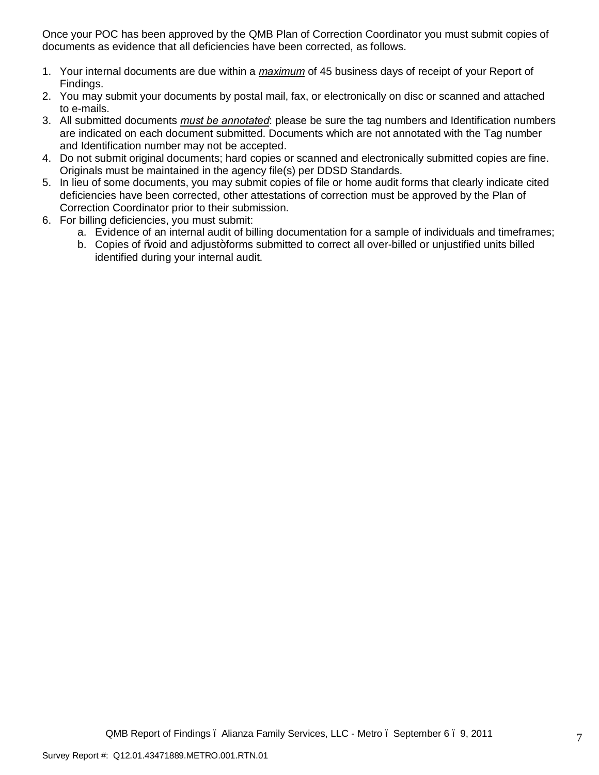Once your POC has been approved by the QMB Plan of Correction Coordinator you must submit copies of documents as evidence that all deficiencies have been corrected, as follows.

- 1. Your internal documents are due within a *maximum* of 45 business days of receipt of your Report of Findings.
- 2. You may submit your documents by postal mail, fax, or electronically on disc or scanned and attached to e-mails.
- 3. All submitted documents *must be annotated*: please be sure the tag numbers and Identification numbers are indicated on each document submitted. Documents which are not annotated with the Tag number and Identification number may not be accepted.
- 4. Do not submit original documents; hard copies or scanned and electronically submitted copies are fine. Originals must be maintained in the agency file(s) per DDSD Standards.
- 5. In lieu of some documents, you may submit copies of file or home audit forms that clearly indicate cited deficiencies have been corrected, other attestations of correction must be approved by the Plan of Correction Coordinator prior to their submission.
- 6. For billing deficiencies, you must submit:
	- a. Evidence of an internal audit of billing documentation for a sample of individuals and timeframes;
	- b. Copies of Woid and adjust+forms submitted to correct all over-billed or unjustified units billed identified during your internal audit.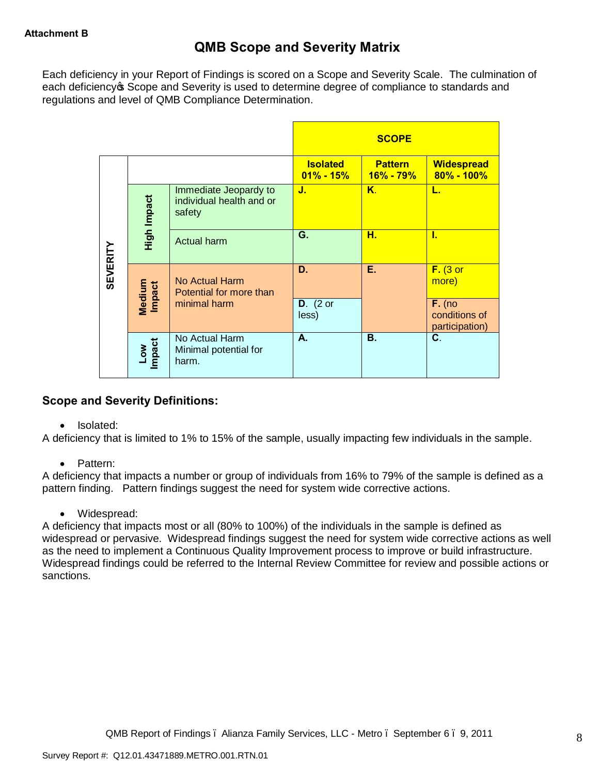Each deficiency in your Report of Findings is scored on a Scope and Severity Scale. The culmination of each deficiency of Scope and Severity is used to determine degree of compliance to standards and regulations and level of QMB Compliance Determination.

|                 |                  |                                                             |                                  | <b>SCOPE</b>                    |                                             |
|-----------------|------------------|-------------------------------------------------------------|----------------------------------|---------------------------------|---------------------------------------------|
|                 |                  |                                                             | <b>Isolated</b><br>$01\% - 15\%$ | <b>Pattern</b><br>$16\% - 79\%$ | <b>Widespread</b><br>$80\% - 100\%$         |
|                 | High Impact      | Immediate Jeopardy to<br>individual health and or<br>safety | J.                               | Κ.                              | L.                                          |
|                 |                  | <b>Actual harm</b>                                          | G.                               | н.                              | I.                                          |
| <b>SEVERITY</b> | Medium<br>Impact | No Actual Harm<br>Potential for more than                   | D.                               | Е.                              | $F.$ (3 or<br>more)                         |
|                 |                  | minimal harm                                                | $D.$ (2 or<br>less)              |                                 | $F.$ (no<br>conditions of<br>participation) |
|                 | Low<br>Impact    | No Actual Harm<br>Minimal potential for<br>harm.            | А.                               | В.                              | C.                                          |

# **Scope and Severity Definitions:**

· Isolated:

A deficiency that is limited to 1% to 15% of the sample, usually impacting few individuals in the sample.

· Pattern:

A deficiency that impacts a number or group of individuals from 16% to 79% of the sample is defined as a pattern finding. Pattern findings suggest the need for system wide corrective actions.

· Widespread:

A deficiency that impacts most or all (80% to 100%) of the individuals in the sample is defined as widespread or pervasive. Widespread findings suggest the need for system wide corrective actions as well as the need to implement a Continuous Quality Improvement process to improve or build infrastructure. Widespread findings could be referred to the Internal Review Committee for review and possible actions or sanctions.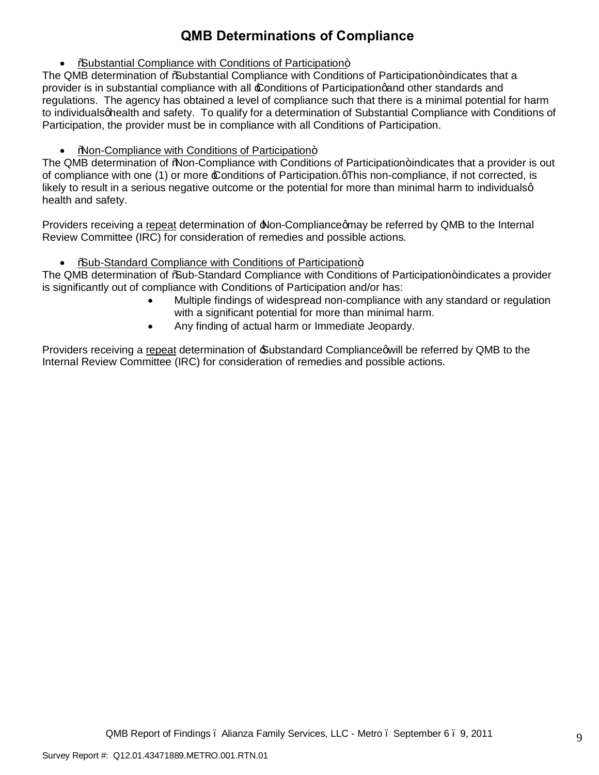# **QMB Determinations of Compliance**

• **%**Substantial Compliance with Conditions of Participation+

The QMB determination of % bubstantial Compliance with Conditions of Participation+indicates that a provider is in substantial compliance with all £onditions of Participationgand other standards and regulations. The agency has obtained a level of compliance such that there is a minimal potential for harm to individuals onealth and safety. To qualify for a determination of Substantial Compliance with Conditions of Participation, the provider must be in compliance with all Conditions of Participation.

• %Non-Compliance with Conditions of Participation+

The QMB determination of "Non-Compliance with Conditions of Participation+indicates that a provider is out of compliance with one (1) or more £ onditions of Participation.  $qThis$  non-compliance, if not corrected, is likely to result in a serious negative outcome or the potential for more than minimal harm to individualsg health and safety.

Providers receiving a repeat determination of  $\Delta$ Non-Compliancegmay be referred by QMB to the Internal Review Committee (IRC) for consideration of remedies and possible actions.

• %Sub-Standard Compliance with Conditions of Participation+

The QMB determination of % aub-Standard Compliance with Conditions of Participation+ indicates a provider is significantly out of compliance with Conditions of Participation and/or has:

- · Multiple findings of widespread non-compliance with any standard or regulation with a significant potential for more than minimal harm.
- · Any finding of actual harm or Immediate Jeopardy.

Providers receiving a repeat determination of  $\triangle$ ubstandard Complianceqwill be referred by QMB to the Internal Review Committee (IRC) for consideration of remedies and possible actions.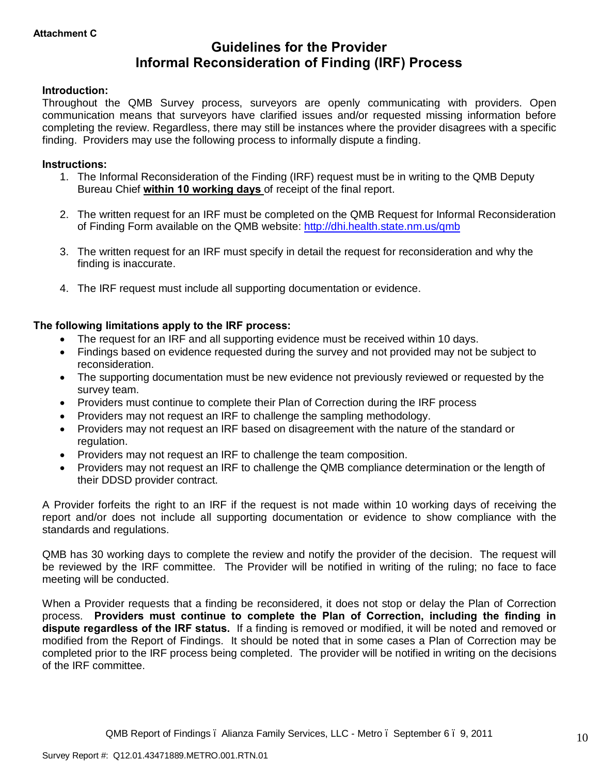# **Guidelines for the Provider Informal Reconsideration of Finding (IRF) Process**

## **Introduction:**

Throughout the QMB Survey process, surveyors are openly communicating with providers. Open communication means that surveyors have clarified issues and/or requested missing information before completing the review. Regardless, there may still be instances where the provider disagrees with a specific finding. Providers may use the following process to informally dispute a finding.

### **Instructions:**

- 1. The Informal Reconsideration of the Finding (IRF) request must be in writing to the QMB Deputy Bureau Chief **within 10 working days** of receipt of the final report.
- 2. The written request for an IRF must be completed on the QMB Request for Informal Reconsideration of Finding Form available on the QMB website: http://dhi.health.state.nm.us/qmb
- 3. The written request for an IRF must specify in detail the request for reconsideration and why the finding is inaccurate.
- 4. The IRF request must include all supporting documentation or evidence.

## **The following limitations apply to the IRF process:**

- The request for an IRF and all supporting evidence must be received within 10 days.
- · Findings based on evidence requested during the survey and not provided may not be subject to reconsideration.
- · The supporting documentation must be new evidence not previously reviewed or requested by the survey team.
- · Providers must continue to complete their Plan [of Correction during the IRF proc](http://dhi.health.state.nm.us/qmb)ess
- · Providers may not request an IRF to challenge the sampling methodology.
- · Providers may not request an IRF based on disagreement with the nature of the standard or regulation.
- · Providers may not request an IRF to challenge the team composition.
- · Providers may not request an IRF to challenge the QMB compliance determination or the length of their DDSD provider contract.

A Provider forfeits the right to an IRF if the request is not made within 10 working days of receiving the report and/or does not include all supporting documentation or evidence to show compliance with the standards and regulations.

QMB has 30 working days to complete the review and notify the provider of the decision. The request will be reviewed by the IRF committee. The Provider will be notified in writing of the ruling; no face to face meeting will be conducted.

When a Provider requests that a finding be reconsidered, it does not stop or delay the Plan of Correction process. **Providers must continue to complete the Plan of Correction, including the finding in dispute regardless of the IRF status.** If a finding is removed or modified, it will be noted and removed or modified from the Report of Findings. It should be noted that in some cases a Plan of Correction may be completed prior to the IRF process being completed. The provider will be notified in writing on the decisions of the IRF committee.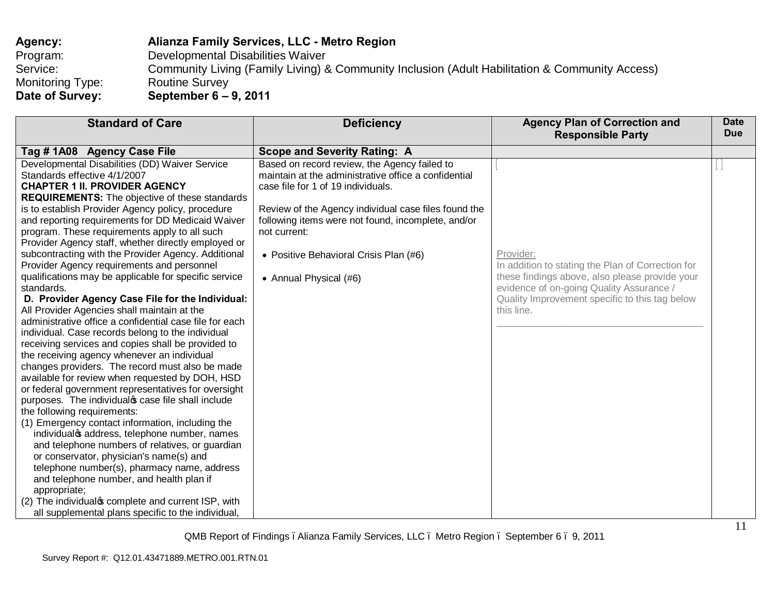| Agency:          | Alianza Family Services, LLC - Metro Region                                                    |
|------------------|------------------------------------------------------------------------------------------------|
| Program:         | Developmental Disabilities Waiver                                                              |
| Service:         | Community Living (Family Living) & Community Inclusion (Adult Habilitation & Community Access) |
| Monitoring Type: | <b>Routine Survey</b>                                                                          |
| Date of Survey:  | September 6 – 9, 2011                                                                          |

| <b>Standard of Care</b>                                                                                                                                                                                                                                                                                                                                                                                                                                                                                                                                                                                                                                                                                                                                                                                                                                                                                                                                                                                                                                                                                                                                                                                                                                                                                                                                                                                                                                                                                                  | <b>Deficiency</b>                                                                                                                                                                                                                                                                                                                            | <b>Agency Plan of Correction and</b><br><b>Responsible Party</b>                                                                                                                                                             | <b>Date</b><br><b>Due</b> |
|--------------------------------------------------------------------------------------------------------------------------------------------------------------------------------------------------------------------------------------------------------------------------------------------------------------------------------------------------------------------------------------------------------------------------------------------------------------------------------------------------------------------------------------------------------------------------------------------------------------------------------------------------------------------------------------------------------------------------------------------------------------------------------------------------------------------------------------------------------------------------------------------------------------------------------------------------------------------------------------------------------------------------------------------------------------------------------------------------------------------------------------------------------------------------------------------------------------------------------------------------------------------------------------------------------------------------------------------------------------------------------------------------------------------------------------------------------------------------------------------------------------------------|----------------------------------------------------------------------------------------------------------------------------------------------------------------------------------------------------------------------------------------------------------------------------------------------------------------------------------------------|------------------------------------------------------------------------------------------------------------------------------------------------------------------------------------------------------------------------------|---------------------------|
| Tag # 1A08 Agency Case File                                                                                                                                                                                                                                                                                                                                                                                                                                                                                                                                                                                                                                                                                                                                                                                                                                                                                                                                                                                                                                                                                                                                                                                                                                                                                                                                                                                                                                                                                              | <b>Scope and Severity Rating: A</b>                                                                                                                                                                                                                                                                                                          |                                                                                                                                                                                                                              |                           |
| Developmental Disabilities (DD) Waiver Service<br>Standards effective 4/1/2007<br><b>CHAPTER 1 II. PROVIDER AGENCY</b><br><b>REQUIREMENTS:</b> The objective of these standards<br>is to establish Provider Agency policy, procedure<br>and reporting requirements for DD Medicaid Waiver<br>program. These requirements apply to all such<br>Provider Agency staff, whether directly employed or<br>subcontracting with the Provider Agency. Additional<br>Provider Agency requirements and personnel<br>qualifications may be applicable for specific service<br>standards.<br>D. Provider Agency Case File for the Individual:<br>All Provider Agencies shall maintain at the<br>administrative office a confidential case file for each<br>individual. Case records belong to the individual<br>receiving services and copies shall be provided to<br>the receiving agency whenever an individual<br>changes providers. The record must also be made<br>available for review when requested by DOH, HSD<br>or federal government representatives for oversight<br>purposes. The individual case file shall include<br>the following requirements:<br>(1) Emergency contact information, including the<br>individualos address, telephone number, names<br>and telephone numbers of relatives, or guardian<br>or conservator, physician's name(s) and<br>telephone number(s), pharmacy name, address<br>and telephone number, and health plan if<br>appropriate;<br>(2) The individual complete and current ISP, with | Based on record review, the Agency failed to<br>maintain at the administrative office a confidential<br>case file for 1 of 19 individuals.<br>Review of the Agency individual case files found the<br>following items were not found, incomplete, and/or<br>not current:<br>• Positive Behavioral Crisis Plan (#6)<br>• Annual Physical (#6) | Provider:<br>In addition to stating the Plan of Correction for<br>these findings above, also please provide your<br>evidence of on-going Quality Assurance /<br>Quality Improvement specific to this tag below<br>this line. |                           |
| all supplemental plans specific to the individual,                                                                                                                                                                                                                                                                                                                                                                                                                                                                                                                                                                                                                                                                                                                                                                                                                                                                                                                                                                                                                                                                                                                                                                                                                                                                                                                                                                                                                                                                       |                                                                                                                                                                                                                                                                                                                                              |                                                                                                                                                                                                                              |                           |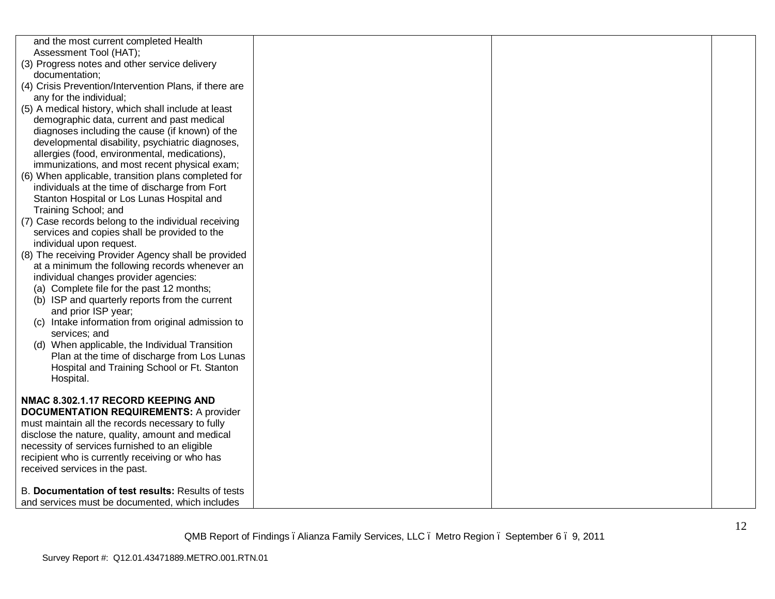| and the most current completed Health<br>Assessment Tool (HAT);<br>(3) Progress notes and other service delivery<br>documentation;<br>(4) Crisis Prevention/Intervention Plans, if there are<br>any for the individual;<br>(5) A medical history, which shall include at least<br>demographic data, current and past medical<br>diagnoses including the cause (if known) of the<br>developmental disability, psychiatric diagnoses,<br>allergies (food, environmental, medications),                     |  |  |
|----------------------------------------------------------------------------------------------------------------------------------------------------------------------------------------------------------------------------------------------------------------------------------------------------------------------------------------------------------------------------------------------------------------------------------------------------------------------------------------------------------|--|--|
| immunizations, and most recent physical exam;<br>(6) When applicable, transition plans completed for<br>individuals at the time of discharge from Fort<br>Stanton Hospital or Los Lunas Hospital and<br>Training School; and                                                                                                                                                                                                                                                                             |  |  |
| (7) Case records belong to the individual receiving<br>services and copies shall be provided to the<br>individual upon request.                                                                                                                                                                                                                                                                                                                                                                          |  |  |
| (8) The receiving Provider Agency shall be provided<br>at a minimum the following records whenever an<br>individual changes provider agencies:<br>(a) Complete file for the past 12 months;<br>(b) ISP and quarterly reports from the current<br>and prior ISP year;<br>(c) Intake information from original admission to<br>services; and<br>(d) When applicable, the Individual Transition<br>Plan at the time of discharge from Los Lunas<br>Hospital and Training School or Ft. Stanton<br>Hospital. |  |  |
| NMAC 8.302.1.17 RECORD KEEPING AND<br><b>DOCUMENTATION REQUIREMENTS: A provider</b><br>must maintain all the records necessary to fully<br>disclose the nature, quality, amount and medical<br>necessity of services furnished to an eligible<br>recipient who is currently receiving or who has<br>received services in the past.                                                                                                                                                                       |  |  |
| B. Documentation of test results: Results of tests<br>and services must be documented, which includes                                                                                                                                                                                                                                                                                                                                                                                                    |  |  |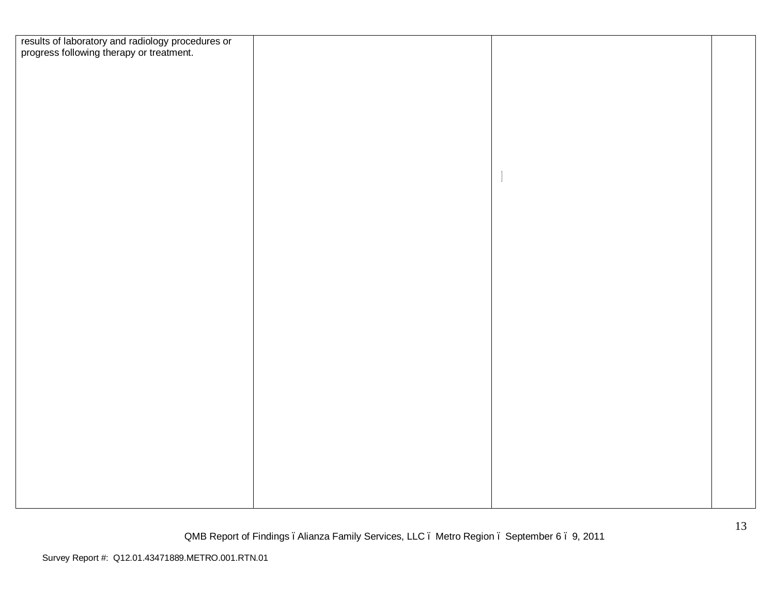| results of laboratory and radiology procedures or<br>progress following therapy or treatment. |  |  |
|-----------------------------------------------------------------------------------------------|--|--|
|                                                                                               |  |  |
|                                                                                               |  |  |
|                                                                                               |  |  |
|                                                                                               |  |  |
|                                                                                               |  |  |
|                                                                                               |  |  |
|                                                                                               |  |  |
|                                                                                               |  |  |
|                                                                                               |  |  |
|                                                                                               |  |  |
|                                                                                               |  |  |
|                                                                                               |  |  |
|                                                                                               |  |  |
|                                                                                               |  |  |
|                                                                                               |  |  |
|                                                                                               |  |  |
|                                                                                               |  |  |
|                                                                                               |  |  |
|                                                                                               |  |  |
|                                                                                               |  |  |
|                                                                                               |  |  |
|                                                                                               |  |  |
|                                                                                               |  |  |
|                                                                                               |  |  |
|                                                                                               |  |  |
|                                                                                               |  |  |
|                                                                                               |  |  |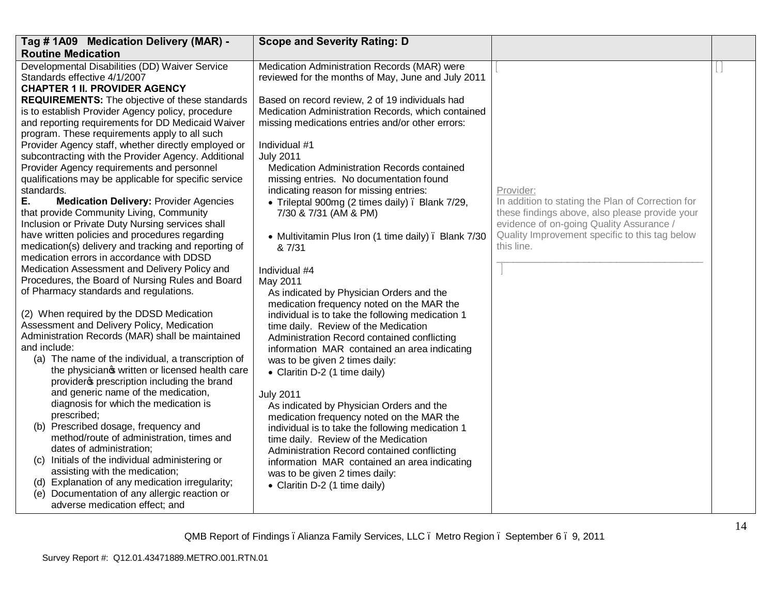| Tag #1A09 Medication Delivery (MAR) -                                                             | <b>Scope and Severity Rating: D</b>                 |                                                              |  |
|---------------------------------------------------------------------------------------------------|-----------------------------------------------------|--------------------------------------------------------------|--|
| <b>Routine Medication</b>                                                                         |                                                     |                                                              |  |
| Developmental Disabilities (DD) Waiver Service                                                    | Medication Administration Records (MAR) were        |                                                              |  |
| Standards effective 4/1/2007                                                                      | reviewed for the months of May, June and July 2011  |                                                              |  |
| <b>CHAPTER 1 II. PROVIDER AGENCY</b>                                                              |                                                     |                                                              |  |
| <b>REQUIREMENTS:</b> The objective of these standards                                             | Based on record review, 2 of 19 individuals had     |                                                              |  |
| is to establish Provider Agency policy, procedure                                                 | Medication Administration Records, which contained  |                                                              |  |
| and reporting requirements for DD Medicaid Waiver                                                 | missing medications entries and/or other errors:    |                                                              |  |
| program. These requirements apply to all such                                                     |                                                     |                                                              |  |
| Provider Agency staff, whether directly employed or                                               | Individual #1                                       |                                                              |  |
| subcontracting with the Provider Agency. Additional                                               | <b>July 2011</b>                                    |                                                              |  |
| Provider Agency requirements and personnel                                                        | Medication Administration Records contained         |                                                              |  |
| qualifications may be applicable for specific service                                             | missing entries. No documentation found             |                                                              |  |
| standards.                                                                                        | indicating reason for missing entries:              | Provider:                                                    |  |
| Е.<br><b>Medication Delivery: Provider Agencies</b>                                               | • Trileptal 900mg (2 times daily). Blank 7/29,      | In addition to stating the Plan of Correction for            |  |
| that provide Community Living, Community                                                          | 7/30 & 7/31 (AM & PM)                               | these findings above, also please provide your               |  |
| Inclusion or Private Duty Nursing services shall                                                  |                                                     | evidence of on-going Quality Assurance /                     |  |
| have written policies and procedures regarding                                                    | • Multivitamin Plus Iron (1 time daily). Blank 7/30 | Quality Improvement specific to this tag below<br>this line. |  |
| medication(s) delivery and tracking and reporting of<br>medication errors in accordance with DDSD | & 7/31                                              |                                                              |  |
| Medication Assessment and Delivery Policy and                                                     | Individual #4                                       |                                                              |  |
| Procedures, the Board of Nursing Rules and Board                                                  | May 2011                                            |                                                              |  |
| of Pharmacy standards and regulations.                                                            | As indicated by Physician Orders and the            |                                                              |  |
|                                                                                                   | medication frequency noted on the MAR the           |                                                              |  |
| (2) When required by the DDSD Medication                                                          | individual is to take the following medication 1    |                                                              |  |
| Assessment and Delivery Policy, Medication                                                        | time daily. Review of the Medication                |                                                              |  |
| Administration Records (MAR) shall be maintained                                                  | Administration Record contained conflicting         |                                                              |  |
| and include:                                                                                      | information MAR contained an area indicating        |                                                              |  |
| (a) The name of the individual, a transcription of                                                | was to be given 2 times daily:                      |                                                              |  |
| the physicianos written or licensed health care                                                   | • Claritin D-2 (1 time daily)                       |                                                              |  |
| provider oprescription including the brand                                                        |                                                     |                                                              |  |
| and generic name of the medication,                                                               | <b>July 2011</b>                                    |                                                              |  |
| diagnosis for which the medication is                                                             | As indicated by Physician Orders and the            |                                                              |  |
| prescribed;                                                                                       | medication frequency noted on the MAR the           |                                                              |  |
| (b) Prescribed dosage, frequency and                                                              | individual is to take the following medication 1    |                                                              |  |
| method/route of administration, times and                                                         | time daily. Review of the Medication                |                                                              |  |
| dates of administration;                                                                          | Administration Record contained conflicting         |                                                              |  |
| (c) Initials of the individual administering or                                                   | information MAR contained an area indicating        |                                                              |  |
| assisting with the medication;                                                                    | was to be given 2 times daily:                      |                                                              |  |
| (d) Explanation of any medication irregularity;                                                   | • Claritin D-2 (1 time daily)                       |                                                              |  |
| Documentation of any allergic reaction or<br>(e)                                                  |                                                     |                                                              |  |
| adverse medication effect; and                                                                    |                                                     |                                                              |  |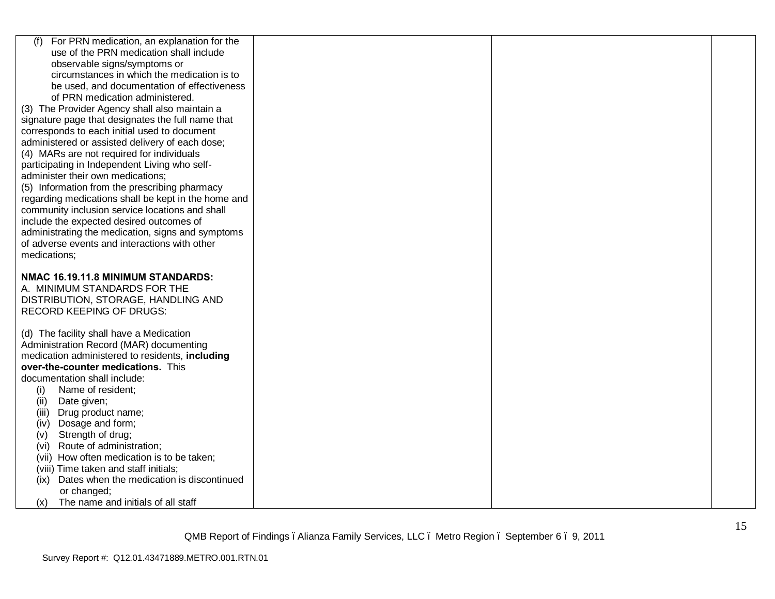| For PRN medication, an explanation for the<br>(f)   |  |  |
|-----------------------------------------------------|--|--|
| use of the PRN medication shall include             |  |  |
| observable signs/symptoms or                        |  |  |
| circumstances in which the medication is to         |  |  |
| be used, and documentation of effectiveness         |  |  |
| of PRN medication administered.                     |  |  |
| (3) The Provider Agency shall also maintain a       |  |  |
| signature page that designates the full name that   |  |  |
| corresponds to each initial used to document        |  |  |
| administered or assisted delivery of each dose;     |  |  |
| (4) MARs are not required for individuals           |  |  |
| participating in Independent Living who self-       |  |  |
| administer their own medications;                   |  |  |
| (5) Information from the prescribing pharmacy       |  |  |
| regarding medications shall be kept in the home and |  |  |
| community inclusion service locations and shall     |  |  |
| include the expected desired outcomes of            |  |  |
| administrating the medication, signs and symptoms   |  |  |
| of adverse events and interactions with other       |  |  |
| medications;                                        |  |  |
|                                                     |  |  |
| NMAC 16.19.11.8 MINIMUM STANDARDS:                  |  |  |
| A. MINIMUM STANDARDS FOR THE                        |  |  |
| DISTRIBUTION, STORAGE, HANDLING AND                 |  |  |
| <b>RECORD KEEPING OF DRUGS:</b>                     |  |  |
|                                                     |  |  |
| (d) The facility shall have a Medication            |  |  |
| Administration Record (MAR) documenting             |  |  |
| medication administered to residents, including     |  |  |
| over-the-counter medications. This                  |  |  |
| documentation shall include:                        |  |  |
| Name of resident;<br>(i)                            |  |  |
| (ii)<br>Date given;                                 |  |  |
| Drug product name;<br>(iii)                         |  |  |
| Dosage and form;<br>(iv)                            |  |  |
| Strength of drug;<br>(v)                            |  |  |
| Route of administration;<br>(vi)                    |  |  |
| (vii) How often medication is to be taken;          |  |  |
| (viii) Time taken and staff initials;               |  |  |
| (ix) Dates when the medication is discontinued      |  |  |
| or changed;                                         |  |  |
| The name and initials of all staff<br>(x)           |  |  |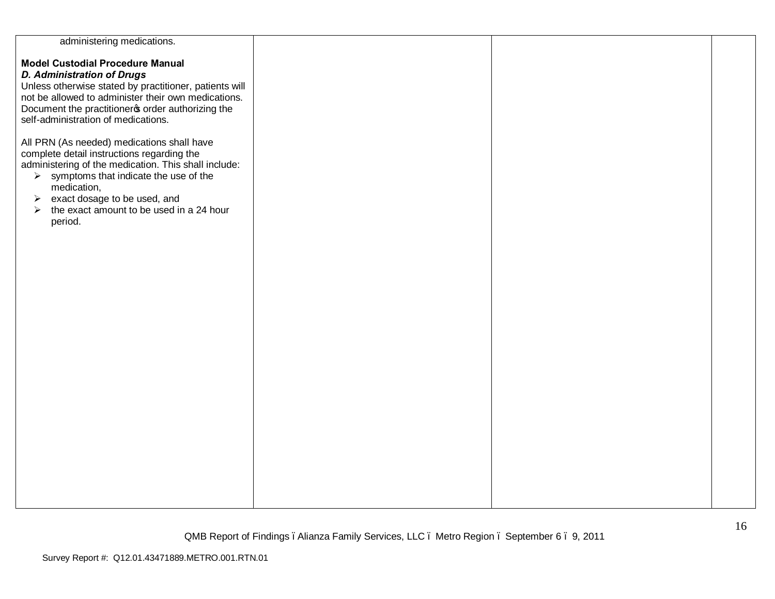| administering medications.                             |  |  |
|--------------------------------------------------------|--|--|
|                                                        |  |  |
| <b>Model Custodial Procedure Manual</b>                |  |  |
| <b>D. Administration of Drugs</b>                      |  |  |
| Unless otherwise stated by practitioner, patients will |  |  |
| not be allowed to administer their own medications.    |  |  |
| Document the practitioner order authorizing the        |  |  |
| self-administration of medications.                    |  |  |
|                                                        |  |  |
| All PRN (As needed) medications shall have             |  |  |
| complete detail instructions regarding the             |  |  |
| administering of the medication. This shall include:   |  |  |
| $\triangleright$ symptoms that indicate the use of the |  |  |
| medication,                                            |  |  |
| exact dosage to be used, and<br>➤                      |  |  |
| the exact amount to be used in a 24 hour<br>➤          |  |  |
| period.                                                |  |  |
|                                                        |  |  |
|                                                        |  |  |
|                                                        |  |  |
|                                                        |  |  |
|                                                        |  |  |
|                                                        |  |  |
|                                                        |  |  |
|                                                        |  |  |
|                                                        |  |  |
|                                                        |  |  |
|                                                        |  |  |
|                                                        |  |  |
|                                                        |  |  |
|                                                        |  |  |
|                                                        |  |  |
|                                                        |  |  |
|                                                        |  |  |
|                                                        |  |  |
|                                                        |  |  |
|                                                        |  |  |
|                                                        |  |  |
|                                                        |  |  |
|                                                        |  |  |
|                                                        |  |  |
|                                                        |  |  |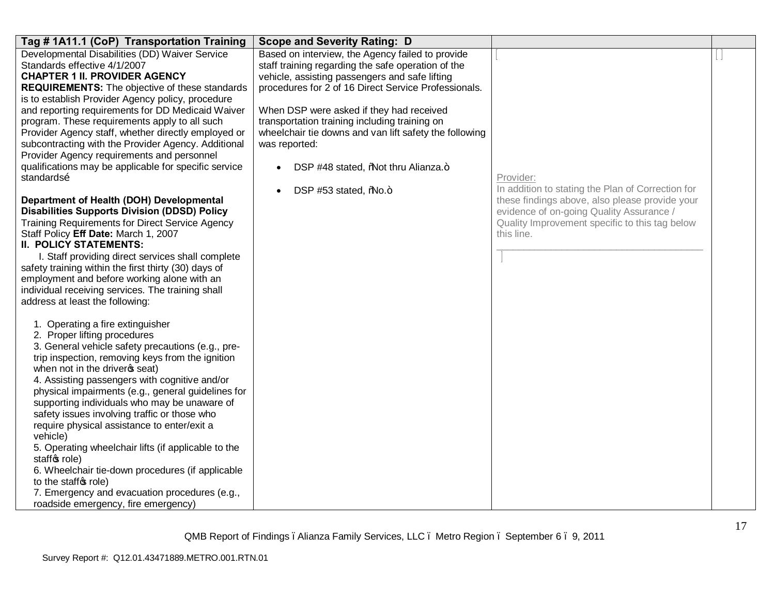| Tag #1A11.1 (CoP) Transportation Training                             | <b>Scope and Severity Rating: D</b>                    |                                                              |  |
|-----------------------------------------------------------------------|--------------------------------------------------------|--------------------------------------------------------------|--|
| Developmental Disabilities (DD) Waiver Service                        | Based on interview, the Agency failed to provide       |                                                              |  |
| Standards effective 4/1/2007                                          | staff training regarding the safe operation of the     |                                                              |  |
| <b>CHAPTER 1 II. PROVIDER AGENCY</b>                                  | vehicle, assisting passengers and safe lifting         |                                                              |  |
| <b>REQUIREMENTS:</b> The objective of these standards                 | procedures for 2 of 16 Direct Service Professionals.   |                                                              |  |
| is to establish Provider Agency policy, procedure                     |                                                        |                                                              |  |
| and reporting requirements for DD Medicaid Waiver                     | When DSP were asked if they had received               |                                                              |  |
| program. These requirements apply to all such                         | transportation training including training on          |                                                              |  |
| Provider Agency staff, whether directly employed or                   | wheelchair tie downs and van lift safety the following |                                                              |  |
| subcontracting with the Provider Agency. Additional                   | was reported:                                          |                                                              |  |
| Provider Agency requirements and personnel                            |                                                        |                                                              |  |
| qualifications may be applicable for specific service                 | DSP #48 stated, %Not thru Alianza.+                    |                                                              |  |
| standardsõ                                                            |                                                        | Provider:                                                    |  |
|                                                                       | DSP #53 stated, %No.+                                  | In addition to stating the Plan of Correction for            |  |
| Department of Health (DOH) Developmental                              |                                                        | these findings above, also please provide your               |  |
| <b>Disabilities Supports Division (DDSD) Policy</b>                   |                                                        | evidence of on-going Quality Assurance /                     |  |
| <b>Training Requirements for Direct Service Agency</b>                |                                                        | Quality Improvement specific to this tag below<br>this line. |  |
| Staff Policy Eff Date: March 1, 2007<br><b>II. POLICY STATEMENTS:</b> |                                                        |                                                              |  |
| I. Staff providing direct services shall complete                     |                                                        |                                                              |  |
| safety training within the first thirty (30) days of                  |                                                        |                                                              |  |
| employment and before working alone with an                           |                                                        |                                                              |  |
| individual receiving services. The training shall                     |                                                        |                                                              |  |
| address at least the following:                                       |                                                        |                                                              |  |
|                                                                       |                                                        |                                                              |  |
| 1. Operating a fire extinguisher                                      |                                                        |                                                              |  |
| 2. Proper lifting procedures                                          |                                                        |                                                              |  |
| 3. General vehicle safety precautions (e.g., pre-                     |                                                        |                                                              |  |
| trip inspection, removing keys from the ignition                      |                                                        |                                                              |  |
| when not in the driver \$ seat)                                       |                                                        |                                                              |  |
| 4. Assisting passengers with cognitive and/or                         |                                                        |                                                              |  |
| physical impairments (e.g., general guidelines for                    |                                                        |                                                              |  |
| supporting individuals who may be unaware of                          |                                                        |                                                              |  |
| safety issues involving traffic or those who                          |                                                        |                                                              |  |
| require physical assistance to enter/exit a                           |                                                        |                                                              |  |
| vehicle)                                                              |                                                        |                                                              |  |
| 5. Operating wheelchair lifts (if applicable to the                   |                                                        |                                                              |  |
| staffos role)                                                         |                                                        |                                                              |  |
| 6. Wheelchair tie-down procedures (if applicable                      |                                                        |                                                              |  |
| to the staffor role)                                                  |                                                        |                                                              |  |
| 7. Emergency and evacuation procedures (e.g.,                         |                                                        |                                                              |  |
| roadside emergency, fire emergency)                                   |                                                        |                                                              |  |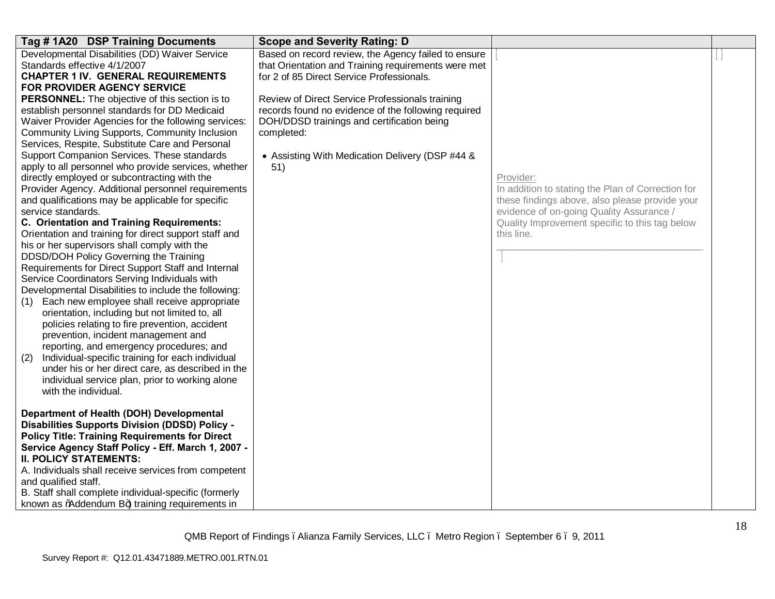| Tag #1A20 DSP Training Documents                                                                                                                                                                                                                                                                                                                                                                                                                                                                                                                                                                                                                                                                                                                                                                                                                                                                                                                                                                                                                                                                                                                                                                                                                                                                                                                                                                                                                                                                                                                                                                                                                                                                                                                                                                                                       | <b>Scope and Severity Rating: D</b>                                                                                                                                                                                                                                                                                                                                                     |                                                                                                                                                                                                                              |  |
|----------------------------------------------------------------------------------------------------------------------------------------------------------------------------------------------------------------------------------------------------------------------------------------------------------------------------------------------------------------------------------------------------------------------------------------------------------------------------------------------------------------------------------------------------------------------------------------------------------------------------------------------------------------------------------------------------------------------------------------------------------------------------------------------------------------------------------------------------------------------------------------------------------------------------------------------------------------------------------------------------------------------------------------------------------------------------------------------------------------------------------------------------------------------------------------------------------------------------------------------------------------------------------------------------------------------------------------------------------------------------------------------------------------------------------------------------------------------------------------------------------------------------------------------------------------------------------------------------------------------------------------------------------------------------------------------------------------------------------------------------------------------------------------------------------------------------------------|-----------------------------------------------------------------------------------------------------------------------------------------------------------------------------------------------------------------------------------------------------------------------------------------------------------------------------------------------------------------------------------------|------------------------------------------------------------------------------------------------------------------------------------------------------------------------------------------------------------------------------|--|
| Developmental Disabilities (DD) Waiver Service<br>Standards effective 4/1/2007<br><b>CHAPTER 1 IV. GENERAL REQUIREMENTS</b><br><b>FOR PROVIDER AGENCY SERVICE</b><br>PERSONNEL: The objective of this section is to<br>establish personnel standards for DD Medicaid<br>Waiver Provider Agencies for the following services:<br>Community Living Supports, Community Inclusion<br>Services, Respite, Substitute Care and Personal<br>Support Companion Services. These standards<br>apply to all personnel who provide services, whether<br>directly employed or subcontracting with the<br>Provider Agency. Additional personnel requirements<br>and qualifications may be applicable for specific<br>service standards.<br>C. Orientation and Training Requirements:<br>Orientation and training for direct support staff and<br>his or her supervisors shall comply with the<br>DDSD/DOH Policy Governing the Training<br>Requirements for Direct Support Staff and Internal<br>Service Coordinators Serving Individuals with<br>Developmental Disabilities to include the following:<br>Each new employee shall receive appropriate<br>(1)<br>orientation, including but not limited to, all<br>policies relating to fire prevention, accident<br>prevention, incident management and<br>reporting, and emergency procedures; and<br>Individual-specific training for each individual<br>(2)<br>under his or her direct care, as described in the<br>individual service plan, prior to working alone<br>with the individual.<br>Department of Health (DOH) Developmental<br>Disabilities Supports Division (DDSD) Policy -<br><b>Policy Title: Training Requirements for Direct</b><br>Service Agency Staff Policy - Eff. March 1, 2007 -<br><b>II. POLICY STATEMENTS:</b><br>A. Individuals shall receive services from competent | Based on record review, the Agency failed to ensure<br>that Orientation and Training requirements were met<br>for 2 of 85 Direct Service Professionals.<br>Review of Direct Service Professionals training<br>records found no evidence of the following required<br>DOH/DDSD trainings and certification being<br>completed:<br>• Assisting With Medication Delivery (DSP #44 &<br>51) | Provider:<br>In addition to stating the Plan of Correction for<br>these findings above, also please provide your<br>evidence of on-going Quality Assurance /<br>Quality Improvement specific to this tag below<br>this line. |  |
| and qualified staff.<br>B. Staff shall complete individual-specific (formerly                                                                                                                                                                                                                                                                                                                                                                                                                                                                                                                                                                                                                                                                                                                                                                                                                                                                                                                                                                                                                                                                                                                                                                                                                                                                                                                                                                                                                                                                                                                                                                                                                                                                                                                                                          |                                                                                                                                                                                                                                                                                                                                                                                         |                                                                                                                                                                                                                              |  |
| known as %Addendum B+) training requirements in                                                                                                                                                                                                                                                                                                                                                                                                                                                                                                                                                                                                                                                                                                                                                                                                                                                                                                                                                                                                                                                                                                                                                                                                                                                                                                                                                                                                                                                                                                                                                                                                                                                                                                                                                                                        |                                                                                                                                                                                                                                                                                                                                                                                         |                                                                                                                                                                                                                              |  |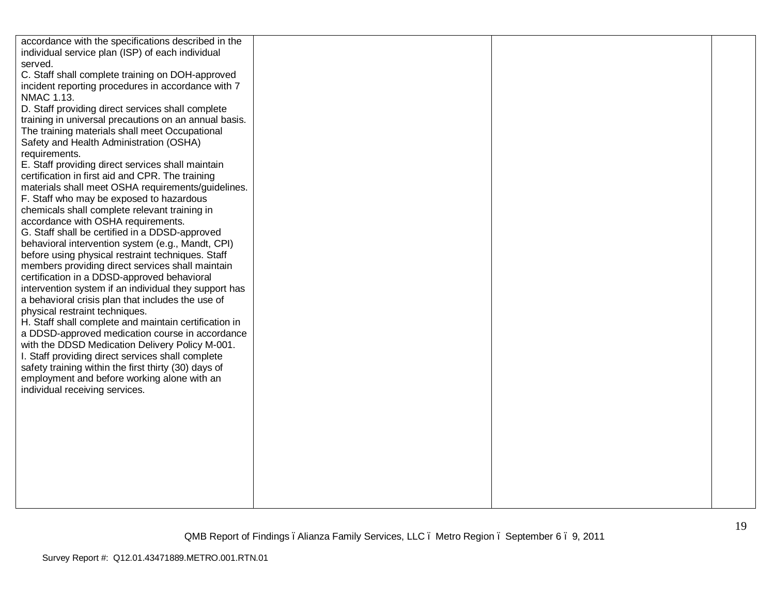| accordance with the specifications described in the   |  |  |
|-------------------------------------------------------|--|--|
| individual service plan (ISP) of each individual      |  |  |
| served.                                               |  |  |
|                                                       |  |  |
| C. Staff shall complete training on DOH-approved      |  |  |
| incident reporting procedures in accordance with 7    |  |  |
| NMAC 1.13.                                            |  |  |
| D. Staff providing direct services shall complete     |  |  |
| training in universal precautions on an annual basis. |  |  |
| The training materials shall meet Occupational        |  |  |
| Safety and Health Administration (OSHA)               |  |  |
| requirements.                                         |  |  |
| E. Staff providing direct services shall maintain     |  |  |
| certification in first aid and CPR. The training      |  |  |
| materials shall meet OSHA requirements/guidelines.    |  |  |
| F. Staff who may be exposed to hazardous              |  |  |
| chemicals shall complete relevant training in         |  |  |
| accordance with OSHA requirements.                    |  |  |
| G. Staff shall be certified in a DDSD-approved        |  |  |
| behavioral intervention system (e.g., Mandt, CPI)     |  |  |
| before using physical restraint techniques. Staff     |  |  |
| members providing direct services shall maintain      |  |  |
| certification in a DDSD-approved behavioral           |  |  |
| intervention system if an individual they support has |  |  |
| a behavioral crisis plan that includes the use of     |  |  |
| physical restraint techniques.                        |  |  |
| H. Staff shall complete and maintain certification in |  |  |
| a DDSD-approved medication course in accordance       |  |  |
| with the DDSD Medication Delivery Policy M-001.       |  |  |
| I. Staff providing direct services shall complete     |  |  |
| safety training within the first thirty (30) days of  |  |  |
| employment and before working alone with an           |  |  |
| individual receiving services.                        |  |  |
|                                                       |  |  |
|                                                       |  |  |
|                                                       |  |  |
|                                                       |  |  |
|                                                       |  |  |
|                                                       |  |  |
|                                                       |  |  |
|                                                       |  |  |
|                                                       |  |  |
|                                                       |  |  |
|                                                       |  |  |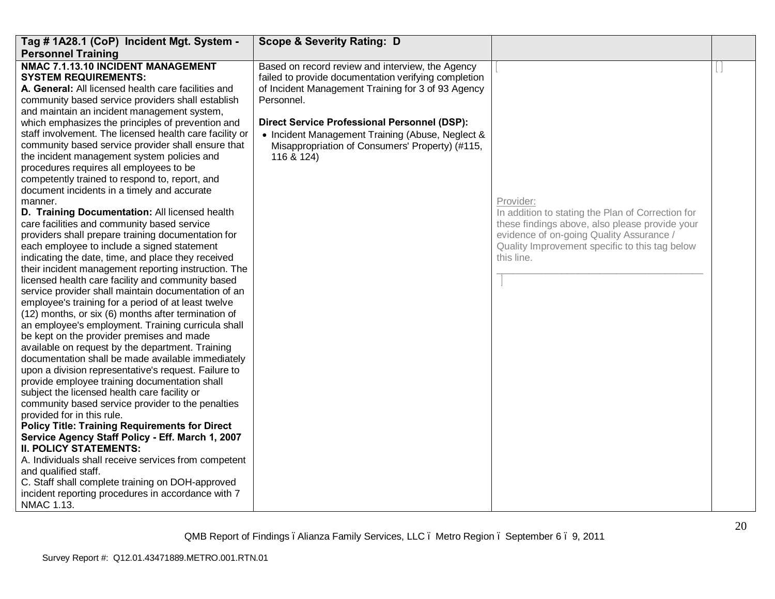| Tag # 1A28.1 (CoP) Incident Mgt. System -                                                                                                                                                                                                                                                                                                                                                                                                                                                                                                                                                                                                                                                                                                                                                                                                                                                                                                                                                 | <b>Scope &amp; Severity Rating: D</b>                                                                                                                                                                                                                                                                                                                    |                                                                                                                                                              |  |
|-------------------------------------------------------------------------------------------------------------------------------------------------------------------------------------------------------------------------------------------------------------------------------------------------------------------------------------------------------------------------------------------------------------------------------------------------------------------------------------------------------------------------------------------------------------------------------------------------------------------------------------------------------------------------------------------------------------------------------------------------------------------------------------------------------------------------------------------------------------------------------------------------------------------------------------------------------------------------------------------|----------------------------------------------------------------------------------------------------------------------------------------------------------------------------------------------------------------------------------------------------------------------------------------------------------------------------------------------------------|--------------------------------------------------------------------------------------------------------------------------------------------------------------|--|
| <b>Personnel Training</b><br>NMAC 7.1.13.10 INCIDENT MANAGEMENT<br><b>SYSTEM REQUIREMENTS:</b><br>A. General: All licensed health care facilities and<br>community based service providers shall establish<br>and maintain an incident management system,<br>which emphasizes the principles of prevention and<br>staff involvement. The licensed health care facility or<br>community based service provider shall ensure that<br>the incident management system policies and<br>procedures requires all employees to be<br>competently trained to respond to, report, and<br>document incidents in a timely and accurate<br>manner.<br>D. Training Documentation: All licensed health<br>care facilities and community based service<br>providers shall prepare training documentation for                                                                                                                                                                                              | Based on record review and interview, the Agency<br>failed to provide documentation verifying completion<br>of Incident Management Training for 3 of 93 Agency<br>Personnel.<br><b>Direct Service Professional Personnel (DSP):</b><br>• Incident Management Training (Abuse, Neglect &<br>Misappropriation of Consumers' Property) (#115,<br>116 & 124) | Provider:<br>In addition to stating the Plan of Correction for<br>these findings above, also please provide your<br>evidence of on-going Quality Assurance / |  |
| each employee to include a signed statement<br>indicating the date, time, and place they received<br>their incident management reporting instruction. The<br>licensed health care facility and community based<br>service provider shall maintain documentation of an<br>employee's training for a period of at least twelve<br>(12) months, or six (6) months after termination of<br>an employee's employment. Training curricula shall<br>be kept on the provider premises and made<br>available on request by the department. Training<br>documentation shall be made available immediately<br>upon a division representative's request. Failure to<br>provide employee training documentation shall<br>subject the licensed health care facility or<br>community based service provider to the penalties<br>provided for in this rule.<br><b>Policy Title: Training Requirements for Direct</b><br>Service Agency Staff Policy - Eff. March 1, 2007<br><b>II. POLICY STATEMENTS:</b> |                                                                                                                                                                                                                                                                                                                                                          | Quality Improvement specific to this tag below<br>this line.                                                                                                 |  |
| A. Individuals shall receive services from competent<br>and qualified staff.<br>C. Staff shall complete training on DOH-approved<br>incident reporting procedures in accordance with 7<br>NMAC 1.13.                                                                                                                                                                                                                                                                                                                                                                                                                                                                                                                                                                                                                                                                                                                                                                                      |                                                                                                                                                                                                                                                                                                                                                          |                                                                                                                                                              |  |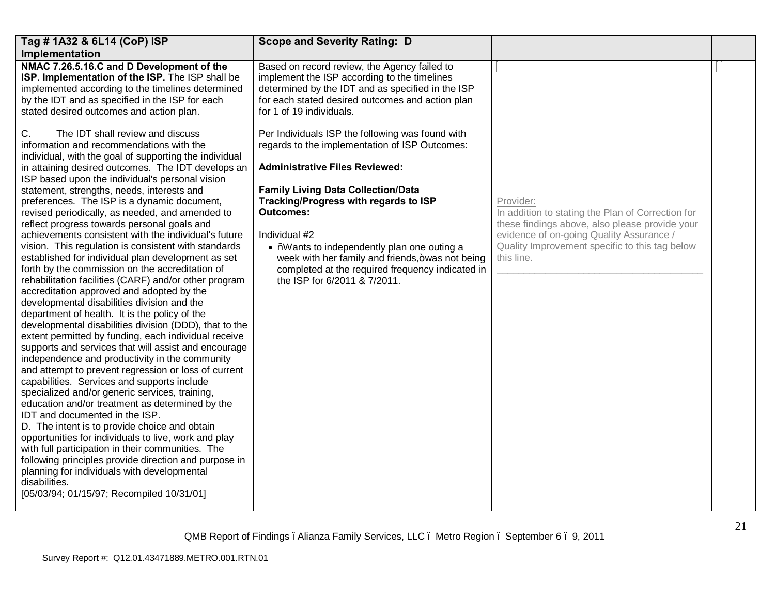| Tag # 1A32 & 6L14 (CoP) ISP                                                                                                                                                                                                                                                                                                                                                                                                                                                                                                                                                                                                                                                                                                                                                                                                                                                                                                                                                                                                                                                                                               | <b>Scope and Severity Rating: D</b>                                                                                                                                                                                                                                                                                                                                                                                                                                                                                                                 |                                                                                                                                                                                                                |  |
|---------------------------------------------------------------------------------------------------------------------------------------------------------------------------------------------------------------------------------------------------------------------------------------------------------------------------------------------------------------------------------------------------------------------------------------------------------------------------------------------------------------------------------------------------------------------------------------------------------------------------------------------------------------------------------------------------------------------------------------------------------------------------------------------------------------------------------------------------------------------------------------------------------------------------------------------------------------------------------------------------------------------------------------------------------------------------------------------------------------------------|-----------------------------------------------------------------------------------------------------------------------------------------------------------------------------------------------------------------------------------------------------------------------------------------------------------------------------------------------------------------------------------------------------------------------------------------------------------------------------------------------------------------------------------------------------|----------------------------------------------------------------------------------------------------------------------------------------------------------------------------------------------------------------|--|
| Implementation                                                                                                                                                                                                                                                                                                                                                                                                                                                                                                                                                                                                                                                                                                                                                                                                                                                                                                                                                                                                                                                                                                            |                                                                                                                                                                                                                                                                                                                                                                                                                                                                                                                                                     |                                                                                                                                                                                                                |  |
| NMAC 7.26.5.16.C and D Development of the<br>ISP. Implementation of the ISP. The ISP shall be<br>implemented according to the timelines determined<br>by the IDT and as specified in the ISP for each<br>stated desired outcomes and action plan.<br>The IDT shall review and discuss<br>C.<br>information and recommendations with the<br>individual, with the goal of supporting the individual<br>in attaining desired outcomes. The IDT develops an<br>ISP based upon the individual's personal vision<br>statement, strengths, needs, interests and<br>preferences. The ISP is a dynamic document,<br>revised periodically, as needed, and amended to<br>reflect progress towards personal goals and<br>achievements consistent with the individual's future<br>vision. This regulation is consistent with standards                                                                                                                                                                                                                                                                                                 | Based on record review, the Agency failed to<br>implement the ISP according to the timelines<br>determined by the IDT and as specified in the ISP<br>for each stated desired outcomes and action plan<br>for 1 of 19 individuals.<br>Per Individuals ISP the following was found with<br>regards to the implementation of ISP Outcomes:<br><b>Administrative Files Reviewed:</b><br><b>Family Living Data Collection/Data</b><br>Tracking/Progress with regards to ISP<br>Outcomes:<br>Individual #2<br>• %Wants to independently plan one outing a | Provider:<br>In addition to stating the Plan of Correction for<br>these findings above, also please provide your<br>evidence of on-going Quality Assurance /<br>Quality Improvement specific to this tag below |  |
| established for individual plan development as set<br>forth by the commission on the accreditation of<br>rehabilitation facilities (CARF) and/or other program<br>accreditation approved and adopted by the<br>developmental disabilities division and the<br>department of health. It is the policy of the<br>developmental disabilities division (DDD), that to the<br>extent permitted by funding, each individual receive<br>supports and services that will assist and encourage<br>independence and productivity in the community<br>and attempt to prevent regression or loss of current<br>capabilities. Services and supports include<br>specialized and/or generic services, training,<br>education and/or treatment as determined by the<br>IDT and documented in the ISP.<br>D. The intent is to provide choice and obtain<br>opportunities for individuals to live, work and play<br>with full participation in their communities. The<br>following principles provide direction and purpose in<br>planning for individuals with developmental<br>disabilities.<br>[05/03/94; 01/15/97; Recompiled 10/31/01] | week with her family and friends, + was not being<br>completed at the required frequency indicated in<br>the ISP for 6/2011 & 7/2011.                                                                                                                                                                                                                                                                                                                                                                                                               | this line.                                                                                                                                                                                                     |  |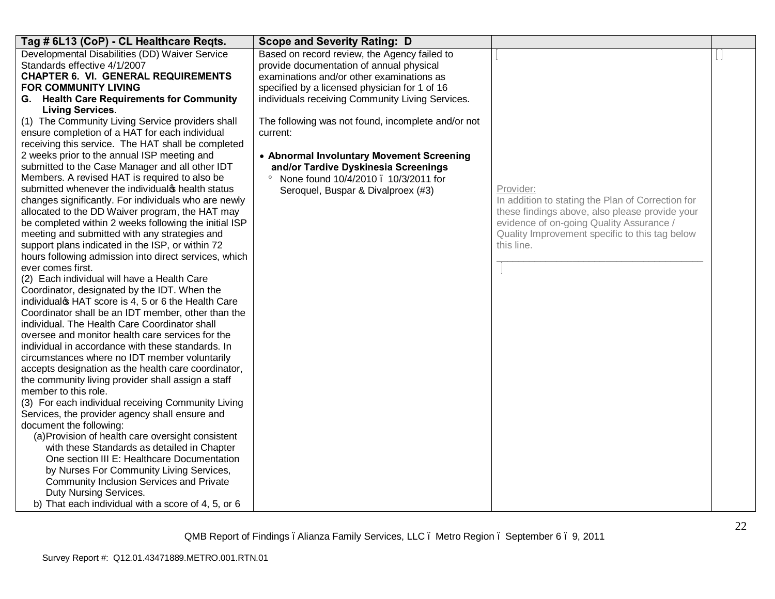| Tag # 6L13 (CoP) - CL Healthcare Reqts.                                                                                                                                                                                                                                                                                                                                                                                                                                                                                                                                                                                                                                                                                                                                                                                                                                                                                                                                                                                                                                                                                                                                                                                                                                                                                                                                                                                                                                                                                                                                                                                                                                                                                                                                                                                                                                                                                                                                                   | <b>Scope and Severity Rating: D</b>                                                                                                                                                                                                                                                                                                                                                                                                                                                        |                                                                                                                                                                                                                              |  |
|-------------------------------------------------------------------------------------------------------------------------------------------------------------------------------------------------------------------------------------------------------------------------------------------------------------------------------------------------------------------------------------------------------------------------------------------------------------------------------------------------------------------------------------------------------------------------------------------------------------------------------------------------------------------------------------------------------------------------------------------------------------------------------------------------------------------------------------------------------------------------------------------------------------------------------------------------------------------------------------------------------------------------------------------------------------------------------------------------------------------------------------------------------------------------------------------------------------------------------------------------------------------------------------------------------------------------------------------------------------------------------------------------------------------------------------------------------------------------------------------------------------------------------------------------------------------------------------------------------------------------------------------------------------------------------------------------------------------------------------------------------------------------------------------------------------------------------------------------------------------------------------------------------------------------------------------------------------------------------------------|--------------------------------------------------------------------------------------------------------------------------------------------------------------------------------------------------------------------------------------------------------------------------------------------------------------------------------------------------------------------------------------------------------------------------------------------------------------------------------------------|------------------------------------------------------------------------------------------------------------------------------------------------------------------------------------------------------------------------------|--|
| Developmental Disabilities (DD) Waiver Service<br>Standards effective 4/1/2007<br><b>CHAPTER 6. VI. GENERAL REQUIREMENTS</b><br><b>FOR COMMUNITY LIVING</b><br>G. Health Care Requirements for Community<br><b>Living Services.</b><br>(1) The Community Living Service providers shall<br>ensure completion of a HAT for each individual<br>receiving this service. The HAT shall be completed<br>2 weeks prior to the annual ISP meeting and<br>submitted to the Case Manager and all other IDT<br>Members. A revised HAT is required to also be<br>submitted whenever the individual is health status<br>changes significantly. For individuals who are newly<br>allocated to the DD Waiver program, the HAT may<br>be completed within 2 weeks following the initial ISP<br>meeting and submitted with any strategies and<br>support plans indicated in the ISP, or within 72<br>hours following admission into direct services, which<br>ever comes first.<br>(2) Each individual will have a Health Care<br>Coordinator, designated by the IDT. When the<br>individualos HAT score is 4, 5 or 6 the Health Care<br>Coordinator shall be an IDT member, other than the<br>individual. The Health Care Coordinator shall<br>oversee and monitor health care services for the<br>individual in accordance with these standards. In<br>circumstances where no IDT member voluntarily<br>accepts designation as the health care coordinator,<br>the community living provider shall assign a staff<br>member to this role.<br>(3) For each individual receiving Community Living<br>Services, the provider agency shall ensure and<br>document the following:<br>(a) Provision of health care oversight consistent<br>with these Standards as detailed in Chapter<br>One section III E: Healthcare Documentation<br>by Nurses For Community Living Services,<br>Community Inclusion Services and Private<br>Duty Nursing Services.<br>b) That each individual with a score of 4, 5, or 6 | Based on record review, the Agency failed to<br>provide documentation of annual physical<br>examinations and/or other examinations as<br>specified by a licensed physician for 1 of 16<br>individuals receiving Community Living Services.<br>The following was not found, incomplete and/or not<br>current:<br>• Abnormal Involuntary Movement Screening<br>and/or Tardive Dyskinesia Screenings<br>None found 10/4/2010 . 10/3/2011 for<br>$\circ$<br>Seroquel, Buspar & Divalproex (#3) | Provider:<br>In addition to stating the Plan of Correction for<br>these findings above, also please provide your<br>evidence of on-going Quality Assurance /<br>Quality Improvement specific to this tag below<br>this line. |  |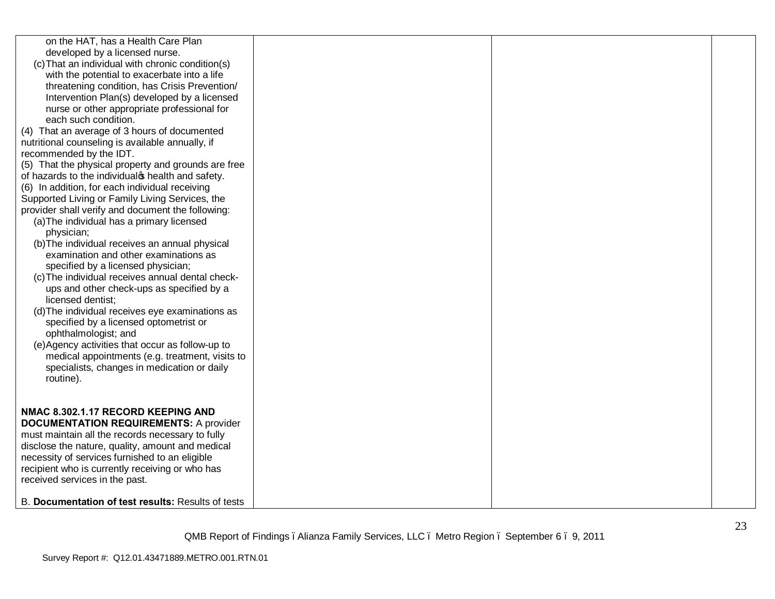| on the HAT, has a Health Care Plan<br>developed by a licensed nurse.<br>(c) That an individual with chronic condition(s)<br>with the potential to exacerbate into a life<br>threatening condition, has Crisis Prevention/<br>Intervention Plan(s) developed by a licensed<br>nurse or other appropriate professional for<br>each such condition.<br>(4) That an average of 3 hours of documented<br>nutritional counseling is available annually, if<br>recommended by the IDT.<br>(5) That the physical property and grounds are free<br>of hazards to the individual phealth and safety.<br>(6) In addition, for each individual receiving<br>Supported Living or Family Living Services, the<br>provider shall verify and document the following:<br>(a) The individual has a primary licensed<br>physician;<br>(b) The individual receives an annual physical<br>examination and other examinations as<br>specified by a licensed physician;<br>(c) The individual receives annual dental check-<br>ups and other check-ups as specified by a<br>licensed dentist;<br>(d) The individual receives eye examinations as<br>specified by a licensed optometrist or<br>ophthalmologist; and<br>(e)Agency activities that occur as follow-up to<br>medical appointments (e.g. treatment, visits to |  |  |
|---------------------------------------------------------------------------------------------------------------------------------------------------------------------------------------------------------------------------------------------------------------------------------------------------------------------------------------------------------------------------------------------------------------------------------------------------------------------------------------------------------------------------------------------------------------------------------------------------------------------------------------------------------------------------------------------------------------------------------------------------------------------------------------------------------------------------------------------------------------------------------------------------------------------------------------------------------------------------------------------------------------------------------------------------------------------------------------------------------------------------------------------------------------------------------------------------------------------------------------------------------------------------------------------------|--|--|
| specialists, changes in medication or daily<br>routine).                                                                                                                                                                                                                                                                                                                                                                                                                                                                                                                                                                                                                                                                                                                                                                                                                                                                                                                                                                                                                                                                                                                                                                                                                                          |  |  |
| NMAC 8.302.1.17 RECORD KEEPING AND<br><b>DOCUMENTATION REQUIREMENTS: A provider</b><br>must maintain all the records necessary to fully<br>disclose the nature, quality, amount and medical<br>necessity of services furnished to an eligible<br>recipient who is currently receiving or who has<br>received services in the past.                                                                                                                                                                                                                                                                                                                                                                                                                                                                                                                                                                                                                                                                                                                                                                                                                                                                                                                                                                |  |  |
| B. Documentation of test results: Results of tests                                                                                                                                                                                                                                                                                                                                                                                                                                                                                                                                                                                                                                                                                                                                                                                                                                                                                                                                                                                                                                                                                                                                                                                                                                                |  |  |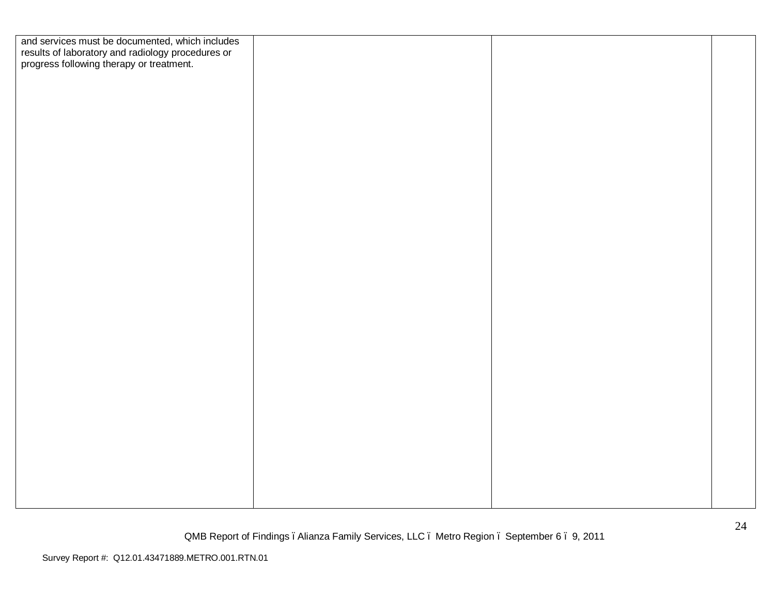| and services must be documented, which includes<br>results of laboratory and radiology procedures or<br>progress following therapy or treatment. |  |  |
|--------------------------------------------------------------------------------------------------------------------------------------------------|--|--|
|                                                                                                                                                  |  |  |
|                                                                                                                                                  |  |  |
|                                                                                                                                                  |  |  |
|                                                                                                                                                  |  |  |
|                                                                                                                                                  |  |  |
|                                                                                                                                                  |  |  |
|                                                                                                                                                  |  |  |
|                                                                                                                                                  |  |  |
|                                                                                                                                                  |  |  |
|                                                                                                                                                  |  |  |
|                                                                                                                                                  |  |  |
|                                                                                                                                                  |  |  |
|                                                                                                                                                  |  |  |
|                                                                                                                                                  |  |  |
|                                                                                                                                                  |  |  |
|                                                                                                                                                  |  |  |
|                                                                                                                                                  |  |  |
|                                                                                                                                                  |  |  |
|                                                                                                                                                  |  |  |
|                                                                                                                                                  |  |  |
|                                                                                                                                                  |  |  |
|                                                                                                                                                  |  |  |
|                                                                                                                                                  |  |  |
|                                                                                                                                                  |  |  |
|                                                                                                                                                  |  |  |
|                                                                                                                                                  |  |  |
|                                                                                                                                                  |  |  |
|                                                                                                                                                  |  |  |
|                                                                                                                                                  |  |  |
|                                                                                                                                                  |  |  |
|                                                                                                                                                  |  |  |
|                                                                                                                                                  |  |  |
|                                                                                                                                                  |  |  |
|                                                                                                                                                  |  |  |
|                                                                                                                                                  |  |  |
|                                                                                                                                                  |  |  |
|                                                                                                                                                  |  |  |
|                                                                                                                                                  |  |  |
|                                                                                                                                                  |  |  |
|                                                                                                                                                  |  |  |
|                                                                                                                                                  |  |  |
|                                                                                                                                                  |  |  |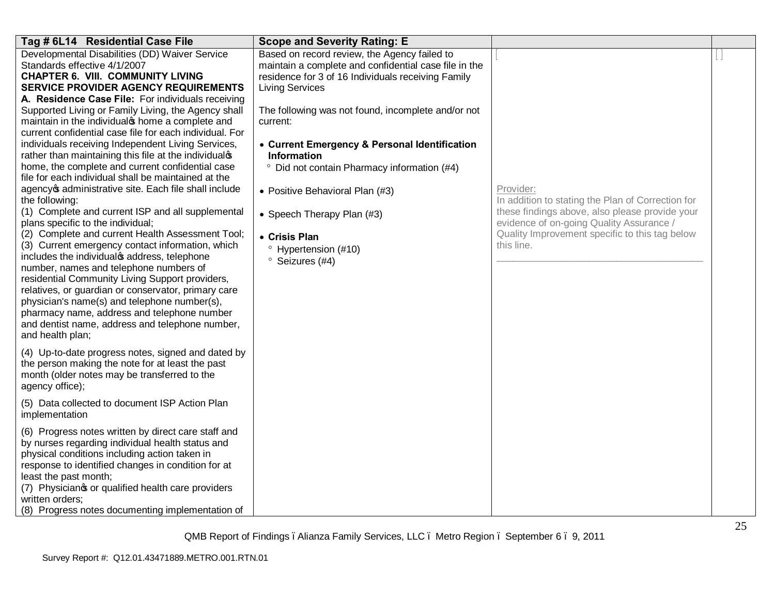| Tag # 6L14 Residential Case File                                                                                                                                                                                                                                                                                                                                                                                                                                                                                                                                                                                                                                                                                                                                                                                                                                                                                                                                                                                                                                                                                                                                                                                                                                                                                                                                                                                                                                                                                                                                                                                                                                                                                                                                                                                                        | <b>Scope and Severity Rating: E</b>                                                                                                                                                                                                                                                                                                                                                                                                                                                                                                  |                                                                                                                                                                                                                              |  |
|-----------------------------------------------------------------------------------------------------------------------------------------------------------------------------------------------------------------------------------------------------------------------------------------------------------------------------------------------------------------------------------------------------------------------------------------------------------------------------------------------------------------------------------------------------------------------------------------------------------------------------------------------------------------------------------------------------------------------------------------------------------------------------------------------------------------------------------------------------------------------------------------------------------------------------------------------------------------------------------------------------------------------------------------------------------------------------------------------------------------------------------------------------------------------------------------------------------------------------------------------------------------------------------------------------------------------------------------------------------------------------------------------------------------------------------------------------------------------------------------------------------------------------------------------------------------------------------------------------------------------------------------------------------------------------------------------------------------------------------------------------------------------------------------------------------------------------------------|--------------------------------------------------------------------------------------------------------------------------------------------------------------------------------------------------------------------------------------------------------------------------------------------------------------------------------------------------------------------------------------------------------------------------------------------------------------------------------------------------------------------------------------|------------------------------------------------------------------------------------------------------------------------------------------------------------------------------------------------------------------------------|--|
| Developmental Disabilities (DD) Waiver Service<br>Standards effective 4/1/2007<br><b>CHAPTER 6. VIII. COMMUNITY LIVING</b><br><b>SERVICE PROVIDER AGENCY REQUIREMENTS</b><br>A. Residence Case File: For individuals receiving<br>Supported Living or Family Living, the Agency shall<br>maintain in the individual thome a complete and<br>current confidential case file for each individual. For<br>individuals receiving Independent Living Services,<br>rather than maintaining this file at the individualop<br>home, the complete and current confidential case<br>file for each individual shall be maintained at the<br>agency of administrative site. Each file shall include<br>the following:<br>(1) Complete and current ISP and all supplemental<br>plans specific to the individual;<br>(2) Complete and current Health Assessment Tool;<br>(3) Current emergency contact information, which<br>includes the individualos address, telephone<br>number, names and telephone numbers of<br>residential Community Living Support providers,<br>relatives, or guardian or conservator, primary care<br>physician's name(s) and telephone number(s),<br>pharmacy name, address and telephone number<br>and dentist name, address and telephone number,<br>and health plan;<br>(4) Up-to-date progress notes, signed and dated by<br>the person making the note for at least the past<br>month (older notes may be transferred to the<br>agency office);<br>(5) Data collected to document ISP Action Plan<br>implementation<br>(6) Progress notes written by direct care staff and<br>by nurses regarding individual health status and<br>physical conditions including action taken in<br>response to identified changes in condition for at<br>least the past month;<br>(7) Physicianos or qualified health care providers | Based on record review, the Agency failed to<br>maintain a complete and confidential case file in the<br>residence for 3 of 16 Individuals receiving Family<br><b>Living Services</b><br>The following was not found, incomplete and/or not<br>current:<br>• Current Emergency & Personal Identification<br>Information<br><sup>o</sup> Did not contain Pharmacy information (#4)<br>• Positive Behavioral Plan (#3)<br>• Speech Therapy Plan (#3)<br>• Crisis Plan<br><sup>o</sup> Hypertension (#10)<br><sup>o</sup> Seizures (#4) | Provider:<br>In addition to stating the Plan of Correction for<br>these findings above, also please provide your<br>evidence of on-going Quality Assurance /<br>Quality Improvement specific to this tag below<br>this line. |  |
| written orders;<br>(8) Progress notes documenting implementation of                                                                                                                                                                                                                                                                                                                                                                                                                                                                                                                                                                                                                                                                                                                                                                                                                                                                                                                                                                                                                                                                                                                                                                                                                                                                                                                                                                                                                                                                                                                                                                                                                                                                                                                                                                     |                                                                                                                                                                                                                                                                                                                                                                                                                                                                                                                                      |                                                                                                                                                                                                                              |  |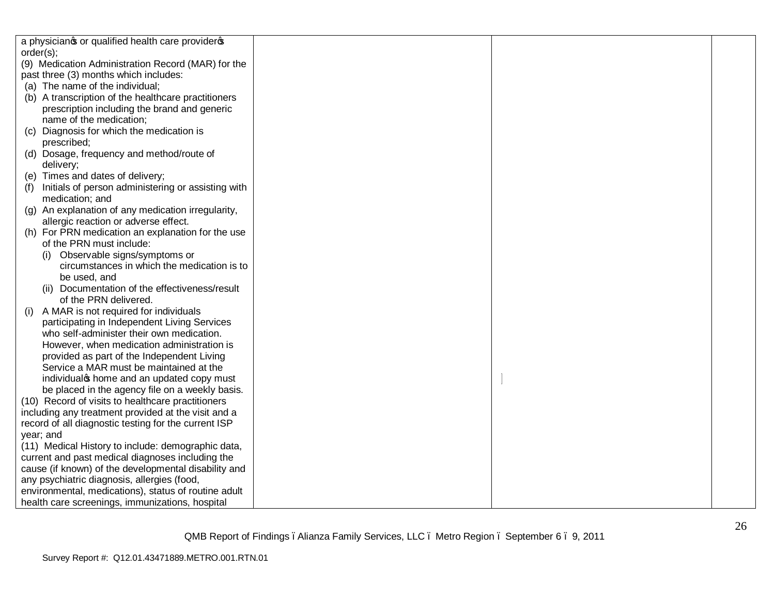| a physicianos or qualified health care provideros         |  |  |
|-----------------------------------------------------------|--|--|
| order(s);                                                 |  |  |
| (9) Medication Administration Record (MAR) for the        |  |  |
| past three (3) months which includes:                     |  |  |
| (a) The name of the individual;                           |  |  |
| (b) A transcription of the healthcare practitioners       |  |  |
| prescription including the brand and generic              |  |  |
| name of the medication;                                   |  |  |
| Diagnosis for which the medication is<br>(C)              |  |  |
| prescribed;                                               |  |  |
| (d) Dosage, frequency and method/route of                 |  |  |
| delivery;                                                 |  |  |
| (e) Times and dates of delivery;                          |  |  |
| Initials of person administering or assisting with<br>(f) |  |  |
| medication; and                                           |  |  |
| (g) An explanation of any medication irregularity,        |  |  |
| allergic reaction or adverse effect.                      |  |  |
| (h) For PRN medication an explanation for the use         |  |  |
| of the PRN must include:                                  |  |  |
| (i) Observable signs/symptoms or                          |  |  |
| circumstances in which the medication is to               |  |  |
| be used, and                                              |  |  |
| (ii) Documentation of the effectiveness/result            |  |  |
| of the PRN delivered.                                     |  |  |
| A MAR is not required for individuals<br>(i)              |  |  |
| participating in Independent Living Services              |  |  |
| who self-administer their own medication.                 |  |  |
| However, when medication administration is                |  |  |
| provided as part of the Independent Living                |  |  |
| Service a MAR must be maintained at the                   |  |  |
| individual thome and an updated copy must                 |  |  |
| be placed in the agency file on a weekly basis.           |  |  |
| (10) Record of visits to healthcare practitioners         |  |  |
| including any treatment provided at the visit and a       |  |  |
| record of all diagnostic testing for the current ISP      |  |  |
| year; and                                                 |  |  |
| (11) Medical History to include: demographic data,        |  |  |
| current and past medical diagnoses including the          |  |  |
| cause (if known) of the developmental disability and      |  |  |
| any psychiatric diagnosis, allergies (food,               |  |  |
| environmental, medications), status of routine adult      |  |  |
| health care screenings, immunizations, hospital           |  |  |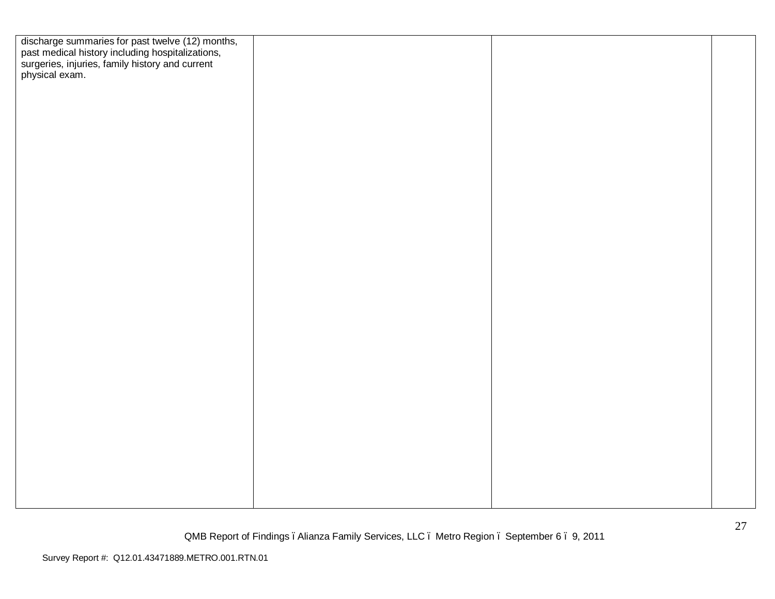| discharge summaries for past twelve (12) months,<br>past medical history including hospitalizations,<br>surgeries, injuries, family history and current<br>physical exam. |  |  |
|---------------------------------------------------------------------------------------------------------------------------------------------------------------------------|--|--|
|                                                                                                                                                                           |  |  |
|                                                                                                                                                                           |  |  |
|                                                                                                                                                                           |  |  |
|                                                                                                                                                                           |  |  |
|                                                                                                                                                                           |  |  |
|                                                                                                                                                                           |  |  |
|                                                                                                                                                                           |  |  |
|                                                                                                                                                                           |  |  |
|                                                                                                                                                                           |  |  |
|                                                                                                                                                                           |  |  |
|                                                                                                                                                                           |  |  |
|                                                                                                                                                                           |  |  |
|                                                                                                                                                                           |  |  |
|                                                                                                                                                                           |  |  |
|                                                                                                                                                                           |  |  |
|                                                                                                                                                                           |  |  |
|                                                                                                                                                                           |  |  |
|                                                                                                                                                                           |  |  |
|                                                                                                                                                                           |  |  |
|                                                                                                                                                                           |  |  |
|                                                                                                                                                                           |  |  |
|                                                                                                                                                                           |  |  |
|                                                                                                                                                                           |  |  |
|                                                                                                                                                                           |  |  |
|                                                                                                                                                                           |  |  |
|                                                                                                                                                                           |  |  |
|                                                                                                                                                                           |  |  |
|                                                                                                                                                                           |  |  |
|                                                                                                                                                                           |  |  |
|                                                                                                                                                                           |  |  |
|                                                                                                                                                                           |  |  |
|                                                                                                                                                                           |  |  |
|                                                                                                                                                                           |  |  |
|                                                                                                                                                                           |  |  |
|                                                                                                                                                                           |  |  |
|                                                                                                                                                                           |  |  |
|                                                                                                                                                                           |  |  |
|                                                                                                                                                                           |  |  |
|                                                                                                                                                                           |  |  |
|                                                                                                                                                                           |  |  |
|                                                                                                                                                                           |  |  |
|                                                                                                                                                                           |  |  |
|                                                                                                                                                                           |  |  |
|                                                                                                                                                                           |  |  |
|                                                                                                                                                                           |  |  |
|                                                                                                                                                                           |  |  |
|                                                                                                                                                                           |  |  |
|                                                                                                                                                                           |  |  |
|                                                                                                                                                                           |  |  |
|                                                                                                                                                                           |  |  |
|                                                                                                                                                                           |  |  |
|                                                                                                                                                                           |  |  |
|                                                                                                                                                                           |  |  |
|                                                                                                                                                                           |  |  |
|                                                                                                                                                                           |  |  |
|                                                                                                                                                                           |  |  |
|                                                                                                                                                                           |  |  |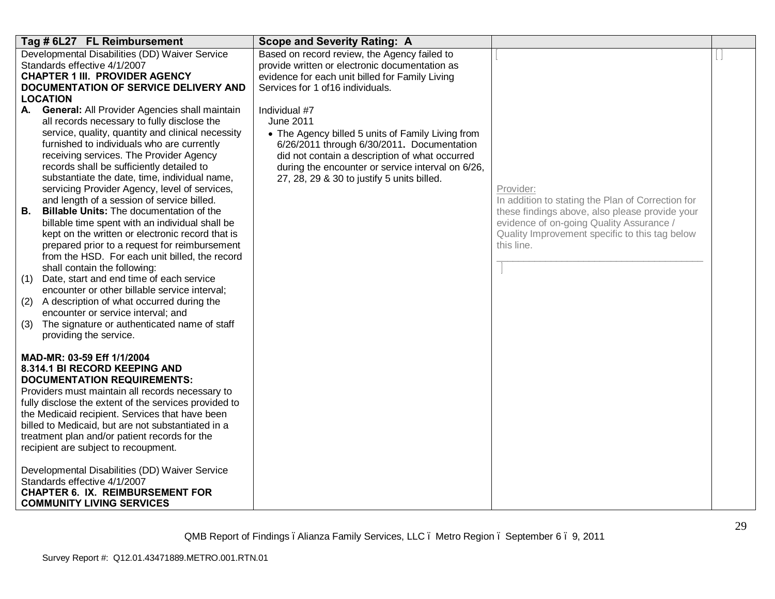| Tag # 6L27 FL Reimbursement                                                                                                                                                                                                                                                                                                                                                                                                                                                                                                                                                                                                                                                                                                                                                                                                                                                                                                                                                                                                     | <b>Scope and Severity Rating: A</b>                                                                                                                                                                                                                                                       |                                                                                                                                                                                                                              |  |
|---------------------------------------------------------------------------------------------------------------------------------------------------------------------------------------------------------------------------------------------------------------------------------------------------------------------------------------------------------------------------------------------------------------------------------------------------------------------------------------------------------------------------------------------------------------------------------------------------------------------------------------------------------------------------------------------------------------------------------------------------------------------------------------------------------------------------------------------------------------------------------------------------------------------------------------------------------------------------------------------------------------------------------|-------------------------------------------------------------------------------------------------------------------------------------------------------------------------------------------------------------------------------------------------------------------------------------------|------------------------------------------------------------------------------------------------------------------------------------------------------------------------------------------------------------------------------|--|
| Developmental Disabilities (DD) Waiver Service<br>Standards effective 4/1/2007<br><b>CHAPTER 1 III. PROVIDER AGENCY</b><br>DOCUMENTATION OF SERVICE DELIVERY AND<br><b>LOCATION</b>                                                                                                                                                                                                                                                                                                                                                                                                                                                                                                                                                                                                                                                                                                                                                                                                                                             | Based on record review, the Agency failed to<br>provide written or electronic documentation as<br>evidence for each unit billed for Family Living<br>Services for 1 of 16 individuals.                                                                                                    |                                                                                                                                                                                                                              |  |
| General: All Provider Agencies shall maintain<br>А.<br>all records necessary to fully disclose the<br>service, quality, quantity and clinical necessity<br>furnished to individuals who are currently<br>receiving services. The Provider Agency<br>records shall be sufficiently detailed to<br>substantiate the date, time, individual name,<br>servicing Provider Agency, level of services,<br>and length of a session of service billed.<br><b>Billable Units:</b> The documentation of the<br>В.<br>billable time spent with an individual shall be<br>kept on the written or electronic record that is<br>prepared prior to a request for reimbursement<br>from the HSD. For each unit billed, the record<br>shall contain the following:<br>Date, start and end time of each service<br>(1)<br>encounter or other billable service interval;<br>A description of what occurred during the<br>(2)<br>encounter or service interval; and<br>The signature or authenticated name of staff<br>(3)<br>providing the service. | Individual #7<br><b>June 2011</b><br>• The Agency billed 5 units of Family Living from<br>6/26/2011 through 6/30/2011. Documentation<br>did not contain a description of what occurred<br>during the encounter or service interval on 6/26,<br>27, 28, 29 & 30 to justify 5 units billed. | Provider:<br>In addition to stating the Plan of Correction for<br>these findings above, also please provide your<br>evidence of on-going Quality Assurance /<br>Quality Improvement specific to this tag below<br>this line. |  |
| MAD-MR: 03-59 Eff 1/1/2004<br>8.314.1 BI RECORD KEEPING AND<br><b>DOCUMENTATION REQUIREMENTS:</b><br>Providers must maintain all records necessary to<br>fully disclose the extent of the services provided to<br>the Medicaid recipient. Services that have been<br>billed to Medicaid, but are not substantiated in a<br>treatment plan and/or patient records for the<br>recipient are subject to recoupment.<br>Developmental Disabilities (DD) Waiver Service<br>Standards effective 4/1/2007<br><b>CHAPTER 6. IX. REIMBURSEMENT FOR</b><br><b>COMMUNITY LIVING SERVICES</b>                                                                                                                                                                                                                                                                                                                                                                                                                                               |                                                                                                                                                                                                                                                                                           |                                                                                                                                                                                                                              |  |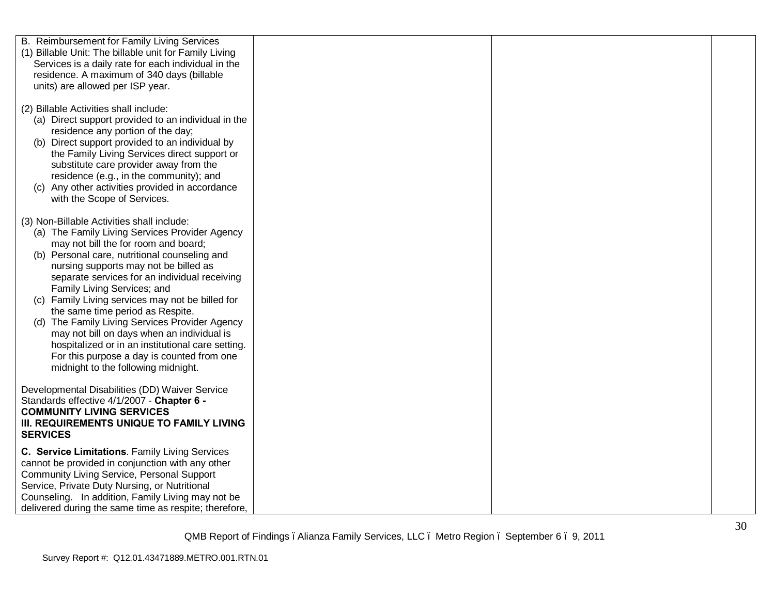| B. Reimbursement for Family Living Services<br>(1) Billable Unit: The billable unit for Family Living<br>Services is a daily rate for each individual in the<br>residence. A maximum of 340 days (billable<br>units) are allowed per ISP year.                                                                                                                                                                                                                                                                                                                                                                                                   |  |  |
|--------------------------------------------------------------------------------------------------------------------------------------------------------------------------------------------------------------------------------------------------------------------------------------------------------------------------------------------------------------------------------------------------------------------------------------------------------------------------------------------------------------------------------------------------------------------------------------------------------------------------------------------------|--|--|
| (2) Billable Activities shall include:<br>(a) Direct support provided to an individual in the<br>residence any portion of the day;<br>(b) Direct support provided to an individual by<br>the Family Living Services direct support or<br>substitute care provider away from the<br>residence (e.g., in the community); and<br>(c) Any other activities provided in accordance<br>with the Scope of Services.                                                                                                                                                                                                                                     |  |  |
| (3) Non-Billable Activities shall include:<br>(a) The Family Living Services Provider Agency<br>may not bill the for room and board;<br>(b) Personal care, nutritional counseling and<br>nursing supports may not be billed as<br>separate services for an individual receiving<br>Family Living Services; and<br>(c) Family Living services may not be billed for<br>the same time period as Respite.<br>(d) The Family Living Services Provider Agency<br>may not bill on days when an individual is<br>hospitalized or in an institutional care setting.<br>For this purpose a day is counted from one<br>midnight to the following midnight. |  |  |
| Developmental Disabilities (DD) Waiver Service<br>Standards effective 4/1/2007 - Chapter 6 -<br><b>COMMUNITY LIVING SERVICES</b><br>III. REQUIREMENTS UNIQUE TO FAMILY LIVING<br><b>SERVICES</b>                                                                                                                                                                                                                                                                                                                                                                                                                                                 |  |  |
| C. Service Limitations. Family Living Services<br>cannot be provided in conjunction with any other<br><b>Community Living Service, Personal Support</b><br>Service, Private Duty Nursing, or Nutritional<br>Counseling. In addition, Family Living may not be<br>delivered during the same time as respite; therefore,                                                                                                                                                                                                                                                                                                                           |  |  |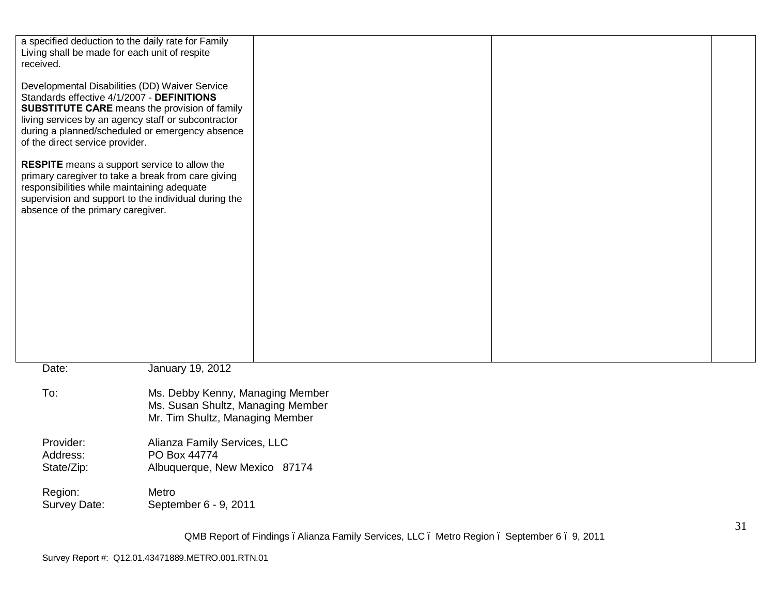| a specified deduction to the daily rate for Family<br>Living shall be made for each unit of respite<br>received.                        |                                                                                                                                                                |  |  |  |    |
|-----------------------------------------------------------------------------------------------------------------------------------------|----------------------------------------------------------------------------------------------------------------------------------------------------------------|--|--|--|----|
| Developmental Disabilities (DD) Waiver Service<br>Standards effective 4/1/2007 - DEFINITIONS<br>of the direct service provider.         | <b>SUBSTITUTE CARE</b> means the provision of family<br>living services by an agency staff or subcontractor<br>during a planned/scheduled or emergency absence |  |  |  |    |
| <b>RESPITE</b> means a support service to allow the<br>responsibilities while maintaining adequate<br>absence of the primary caregiver. | primary caregiver to take a break from care giving<br>supervision and support to the individual during the                                                     |  |  |  |    |
|                                                                                                                                         |                                                                                                                                                                |  |  |  |    |
|                                                                                                                                         |                                                                                                                                                                |  |  |  |    |
|                                                                                                                                         |                                                                                                                                                                |  |  |  |    |
| Date:                                                                                                                                   | January 19, 2012                                                                                                                                               |  |  |  |    |
| To:                                                                                                                                     | Ms. Debby Kenny, Managing Member<br>Ms. Susan Shultz, Managing Member<br>Mr. Tim Shultz, Managing Member                                                       |  |  |  |    |
| Provider:<br>Address:<br>State/Zip:                                                                                                     | Alianza Family Services, LLC<br>PO Box 44774<br>Albuquerque, New Mexico 87174                                                                                  |  |  |  |    |
| Region:<br>Survey Date:                                                                                                                 | Metro<br>September 6 - 9, 2011                                                                                                                                 |  |  |  |    |
|                                                                                                                                         |                                                                                                                                                                |  |  |  | 31 |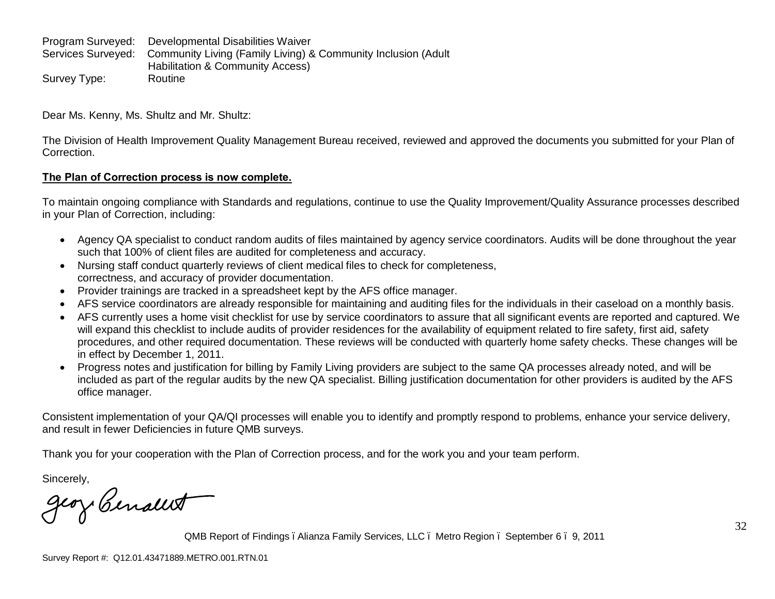Program Surveyed: Developmental Disabilities Waiver Services Surveyed: Community Living (Family Living) & Community Inclusion (Adult Habilitation & Community Access) Survey Type: Routine

Dear Ms. Kenny, Ms. Shultz and Mr. Shultz:

The Division of Health Improvement Quality Management Bureau received, reviewed and approved the documents you submitted for your Plan of Correction.

# **The Plan of Correction process is now complete.**

To maintain ongoing compliance with Standards and regulations, continue to use the Quality Improvement/Quality Assurance processes described in your Plan of Correction, including:

- · Agency QA specialist to conduct random audits of files maintained by agency service coordinators. Audits will be done throughout the year such that 100% of client files are audited for completeness and accuracy.
- · Nursing staff conduct quarterly reviews of client medical files to check for completeness, correctness, and accuracy of provider documentation.
- · Provider trainings are tracked in a spreadsheet kept by the AFS office manager.
- · AFS service coordinators are already responsible for maintaining and auditing files for the individuals in their caseload on a monthly basis.
- · AFS currently uses a home visit checklist for use by service coordinators to assure that all significant events are reported and captured. We will expand this checklist to include audits of provider residences for the availability of equipment related to fire safety, first aid, safety procedures, and other required documentation. These reviews will be conducted with quarterly home safety checks. These changes will be in effect by December 1, 2011.
- · Progress notes and justification for billing by Family Living providers are subject to the same QA processes already noted, and will be included as part of the regular audits by the new QA specialist. Billing justification documentation for other providers is audited by the AFS office manager.

Consistent implementation of your QA/QI processes will enable you to identify and promptly respond to problems, enhance your service delivery, and result in fewer Deficiencies in future QMB surveys.

Thank you for your cooperation with the Plan of Correction process, and for the work you and your team perform.

Sincerely,

geory Cenalet